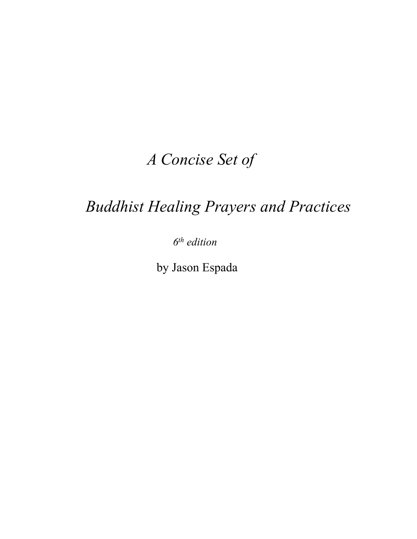# *A Concise Set of*

# *Buddhist Healing Prayers and Practices*

 *6th edition* 

by Jason Espada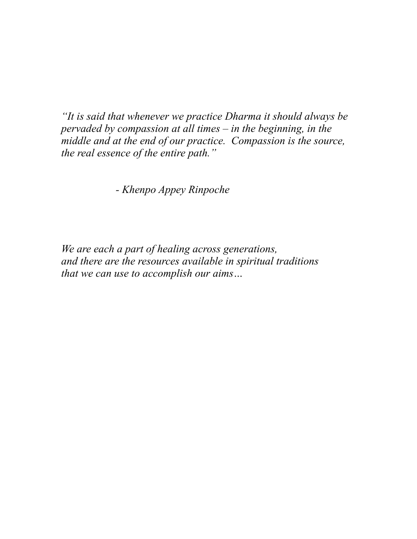*"It is said that whenever we practice Dharma it should always be pervaded by compassion at all times – in the beginning, in the middle and at the end of our practice. Compassion is the source, the real essence of the entire path."* 

*- Khenpo Appey Rinpoche*

*We are each a part of healing across generations, and there are the resources available in spiritual traditions that we can use to accomplish our aims…*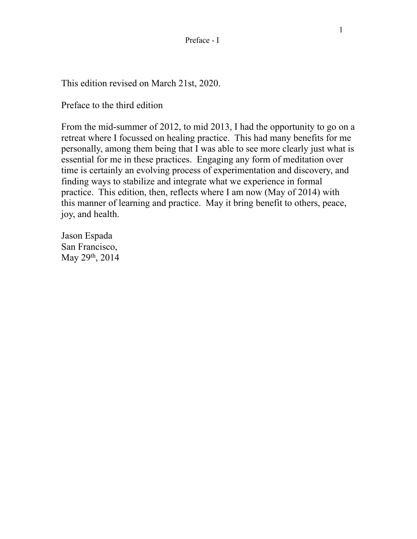This edition revised on March 21st, 2020.

Preface to the third edition

From the mid-summer of 2012, to mid 2013, I had the opportunity to go on a retreat where I focussed on healing practice. This had many benefits for me personally, among them being that I was able to see more clearly just what is essential for me in these practices. Engaging any form of meditation over time is certainly an evolving process of experimentation and discovery, and finding ways to stabilize and integrate what we experience in formal practice. This edition, then, reflects where I am now (May of 2014) with this manner of learning and practice. May it bring benefit to others, peace, joy, and health.

Jason Espada San Francisco, May 29th, 2014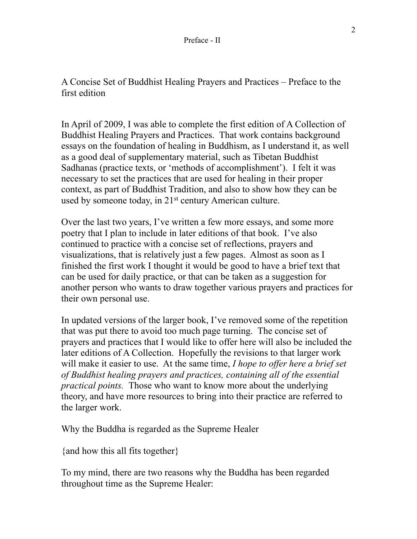A Concise Set of Buddhist Healing Prayers and Practices – Preface to the first edition

In April of 2009, I was able to complete the first edition of A Collection of Buddhist Healing Prayers and Practices. That work contains background essays on the foundation of healing in Buddhism, as I understand it, as well as a good deal of supplementary material, such as Tibetan Buddhist Sadhanas (practice texts, or 'methods of accomplishment'). I felt it was necessary to set the practices that are used for healing in their proper context, as part of Buddhist Tradition, and also to show how they can be used by someone today, in 21<sup>st</sup> century American culture.

Over the last two years, I've written a few more essays, and some more poetry that I plan to include in later editions of that book. I've also continued to practice with a concise set of reflections, prayers and visualizations, that is relatively just a few pages. Almost as soon as I finished the first work I thought it would be good to have a brief text that can be used for daily practice, or that can be taken as a suggestion for another person who wants to draw together various prayers and practices for their own personal use.

In updated versions of the larger book, I've removed some of the repetition that was put there to avoid too much page turning. The concise set of prayers and practices that I would like to offer here will also be included the later editions of A Collection. Hopefully the revisions to that larger work will make it easier to use. At the same time, *I hope to offer here a brief set of Buddhist healing prayers and practices, containing all of the essential practical points.* Those who want to know more about the underlying theory, and have more resources to bring into their practice are referred to the larger work.

Why the Buddha is regarded as the Supreme Healer

{and how this all fits together}

To my mind, there are two reasons why the Buddha has been regarded throughout time as the Supreme Healer: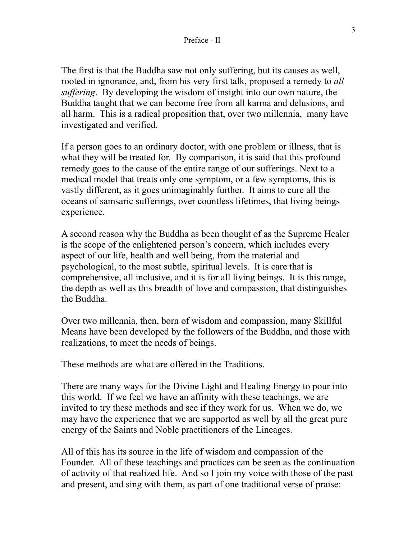The first is that the Buddha saw not only suffering, but its causes as well, rooted in ignorance, and, from his very first talk, proposed a remedy to *all suffering*. By developing the wisdom of insight into our own nature, the Buddha taught that we can become free from all karma and delusions, and all harm. This is a radical proposition that, over two millennia, many have investigated and verified.

If a person goes to an ordinary doctor, with one problem or illness, that is what they will be treated for. By comparison, it is said that this profound remedy goes to the cause of the entire range of our sufferings. Next to a medical model that treats only one symptom, or a few symptoms, this is vastly different, as it goes unimaginably further. It aims to cure all the oceans of samsaric sufferings, over countless lifetimes, that living beings experience.

A second reason why the Buddha as been thought of as the Supreme Healer is the scope of the enlightened person's concern, which includes every aspect of our life, health and well being, from the material and psychological, to the most subtle, spiritual levels. It is care that is comprehensive, all inclusive, and it is for all living beings. It is this range, the depth as well as this breadth of love and compassion, that distinguishes the Buddha.

Over two millennia, then, born of wisdom and compassion, many Skillful Means have been developed by the followers of the Buddha, and those with realizations, to meet the needs of beings.

These methods are what are offered in the Traditions.

There are many ways for the Divine Light and Healing Energy to pour into this world. If we feel we have an affinity with these teachings, we are invited to try these methods and see if they work for us. When we do, we may have the experience that we are supported as well by all the great pure energy of the Saints and Noble practitioners of the Lineages.

All of this has its source in the life of wisdom and compassion of the Founder. All of these teachings and practices can be seen as the continuation of activity of that realized life. And so I join my voice with those of the past and present, and sing with them, as part of one traditional verse of praise: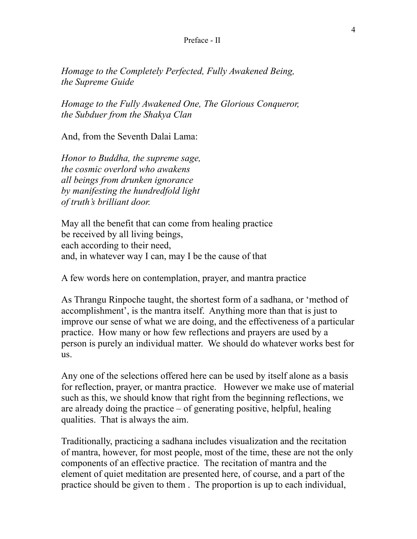#### Preface - II

*Homage to the Completely Perfected, Fully Awakened Being, the Supreme Guide* 

*Homage to the Fully Awakened One, The Glorious Conqueror, the Subduer from the Shakya Clan* 

And, from the Seventh Dalai Lama:

*Honor to Buddha, the supreme sage, the cosmic overlord who awakens all beings from drunken ignorance by manifesting the hundredfold light of truth's brilliant door.*

May all the benefit that can come from healing practice be received by all living beings, each according to their need, and, in whatever way I can, may I be the cause of that

A few words here on contemplation, prayer, and mantra practice

As Thrangu Rinpoche taught, the shortest form of a sadhana, or 'method of accomplishment', is the mantra itself. Anything more than that is just to improve our sense of what we are doing, and the effectiveness of a particular practice. How many or how few reflections and prayers are used by a person is purely an individual matter. We should do whatever works best for us.

Any one of the selections offered here can be used by itself alone as a basis for reflection, prayer, or mantra practice. However we make use of material such as this, we should know that right from the beginning reflections, we are already doing the practice – of generating positive, helpful, healing qualities. That is always the aim.

Traditionally, practicing a sadhana includes visualization and the recitation of mantra, however, for most people, most of the time, these are not the only components of an effective practice. The recitation of mantra and the element of quiet meditation are presented here, of course, and a part of the practice should be given to them . The proportion is up to each individual,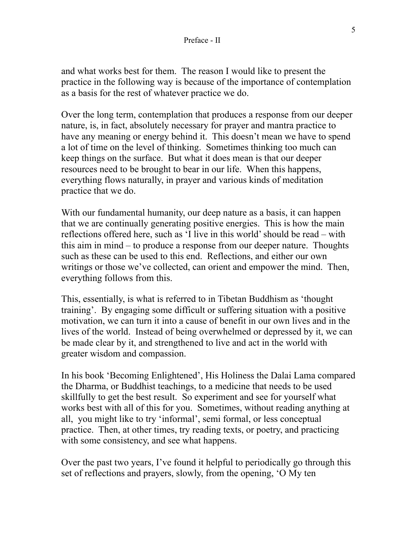and what works best for them. The reason I would like to present the practice in the following way is because of the importance of contemplation as a basis for the rest of whatever practice we do.

Over the long term, contemplation that produces a response from our deeper nature, is, in fact, absolutely necessary for prayer and mantra practice to have any meaning or energy behind it. This doesn't mean we have to spend a lot of time on the level of thinking. Sometimes thinking too much can keep things on the surface. But what it does mean is that our deeper resources need to be brought to bear in our life. When this happens, everything flows naturally, in prayer and various kinds of meditation practice that we do.

With our fundamental humanity, our deep nature as a basis, it can happen that we are continually generating positive energies. This is how the main reflections offered here, such as 'I live in this world' should be read – with this aim in mind – to produce a response from our deeper nature. Thoughts such as these can be used to this end. Reflections, and either our own writings or those we've collected, can orient and empower the mind. Then, everything follows from this.

This, essentially, is what is referred to in Tibetan Buddhism as 'thought training'. By engaging some difficult or suffering situation with a positive motivation, we can turn it into a cause of benefit in our own lives and in the lives of the world. Instead of being overwhelmed or depressed by it, we can be made clear by it, and strengthened to live and act in the world with greater wisdom and compassion.

In his book 'Becoming Enlightened', His Holiness the Dalai Lama compared the Dharma, or Buddhist teachings, to a medicine that needs to be used skillfully to get the best result. So experiment and see for yourself what works best with all of this for you. Sometimes, without reading anything at all, you might like to try 'informal', semi formal, or less conceptual practice. Then, at other times, try reading texts, or poetry, and practicing with some consistency, and see what happens.

Over the past two years, I've found it helpful to periodically go through this set of reflections and prayers, slowly, from the opening, 'O My ten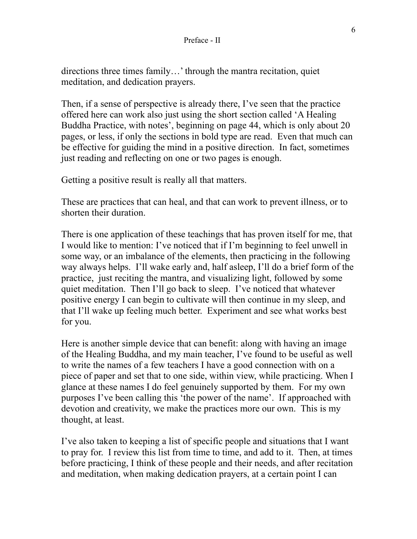directions three times family…' through the mantra recitation, quiet meditation, and dedication prayers.

Then, if a sense of perspective is already there, I've seen that the practice offered here can work also just using the short section called 'A Healing Buddha Practice, with notes', beginning on page 44, which is only about 20 pages, or less, if only the sections in bold type are read. Even that much can be effective for guiding the mind in a positive direction. In fact, sometimes just reading and reflecting on one or two pages is enough.

Getting a positive result is really all that matters.

These are practices that can heal, and that can work to prevent illness, or to shorten their duration.

There is one application of these teachings that has proven itself for me, that I would like to mention: I've noticed that if I'm beginning to feel unwell in some way, or an imbalance of the elements, then practicing in the following way always helps. I'll wake early and, half asleep, I'll do a brief form of the practice, just reciting the mantra, and visualizing light, followed by some quiet meditation. Then I'll go back to sleep. I've noticed that whatever positive energy I can begin to cultivate will then continue in my sleep, and that I'll wake up feeling much better. Experiment and see what works best for you.

Here is another simple device that can benefit: along with having an image of the Healing Buddha, and my main teacher, I've found to be useful as well to write the names of a few teachers I have a good connection with on a piece of paper and set that to one side, within view, while practicing. When I glance at these names I do feel genuinely supported by them. For my own purposes I've been calling this 'the power of the name'. If approached with devotion and creativity, we make the practices more our own. This is my thought, at least.

I've also taken to keeping a list of specific people and situations that I want to pray for. I review this list from time to time, and add to it. Then, at times before practicing, I think of these people and their needs, and after recitation and meditation, when making dedication prayers, at a certain point I can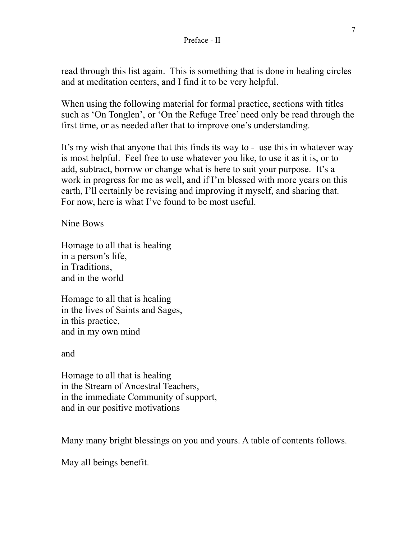#### Preface - II

read through this list again. This is something that is done in healing circles and at meditation centers, and I find it to be very helpful.

When using the following material for formal practice, sections with titles such as 'On Tonglen', or 'On the Refuge Tree' need only be read through the first time, or as needed after that to improve one's understanding.

It's my wish that anyone that this finds its way to - use this in whatever way is most helpful. Feel free to use whatever you like, to use it as it is, or to add, subtract, borrow or change what is here to suit your purpose. It's a work in progress for me as well, and if I'm blessed with more years on this earth, I'll certainly be revising and improving it myself, and sharing that. For now, here is what I've found to be most useful.

Nine Bows

Homage to all that is healing in a person's life, in Traditions, and in the world

Homage to all that is healing in the lives of Saints and Sages, in this practice, and in my own mind

and

Homage to all that is healing in the Stream of Ancestral Teachers, in the immediate Community of support, and in our positive motivations

Many many bright blessings on you and yours. A table of contents follows.

May all beings benefit.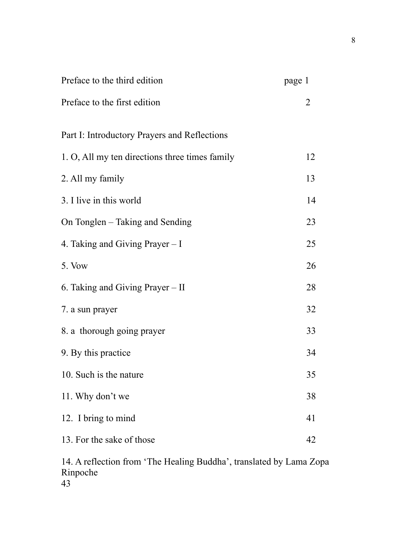| page 1 |
|--------|
| 2      |
|        |
| 12     |
| 13     |
| 14     |
| 23     |
| 25     |
| 26     |
| 28     |
| 32     |
| 33     |
| 34     |
| 35     |
| 38     |
| 41     |
| 42     |
|        |

14. A reflection from 'The Healing Buddha', translated by Lama Zopa Rinpoche 43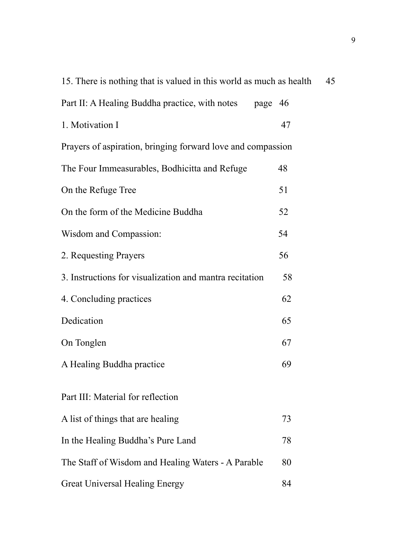| 15. There is nothing that is valued in this world as much as health<br>45 |    |  |
|---------------------------------------------------------------------------|----|--|
| Part II: A Healing Buddha practice, with notes<br>page 46                 |    |  |
| 1. Motivation I                                                           | 47 |  |
| Prayers of aspiration, bringing forward love and compassion               |    |  |
| The Four Immeasurables, Bodhicitta and Refuge                             | 48 |  |
| On the Refuge Tree                                                        | 51 |  |
| On the form of the Medicine Buddha                                        | 52 |  |
| Wisdom and Compassion:                                                    | 54 |  |
| 2. Requesting Prayers                                                     | 56 |  |
| 3. Instructions for visualization and mantra recitation                   | 58 |  |
| 4. Concluding practices                                                   | 62 |  |
| Dedication                                                                | 65 |  |
| On Tonglen                                                                | 67 |  |
| A Healing Buddha practice                                                 | 69 |  |
| Part III: Material for reflection                                         |    |  |
| A list of things that are healing                                         | 73 |  |
| In the Healing Buddha's Pure Land                                         | 78 |  |
| The Staff of Wisdom and Healing Waters - A Parable                        | 80 |  |
| <b>Great Universal Healing Energy</b>                                     | 84 |  |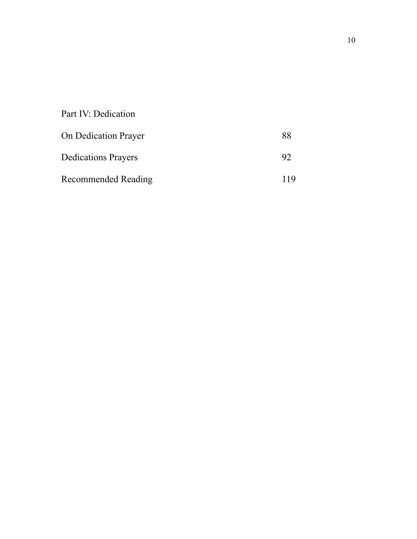| Part IV: Dedication         |    |
|-----------------------------|----|
| <b>On Dedication Prayer</b> | 88 |
| <b>Dedications Prayers</b>  | 92 |
| <b>Recommended Reading</b>  |    |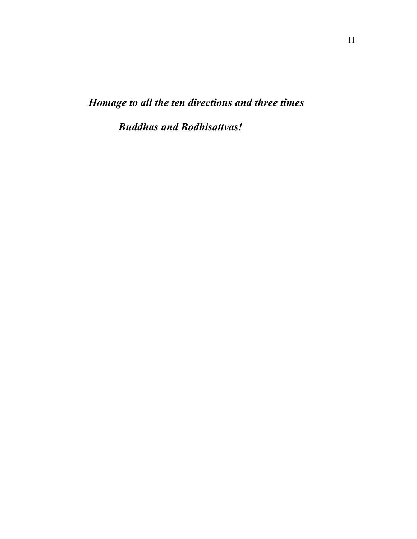*Homage to all the ten directions and three times* 

 *Buddhas and Bodhisattvas!*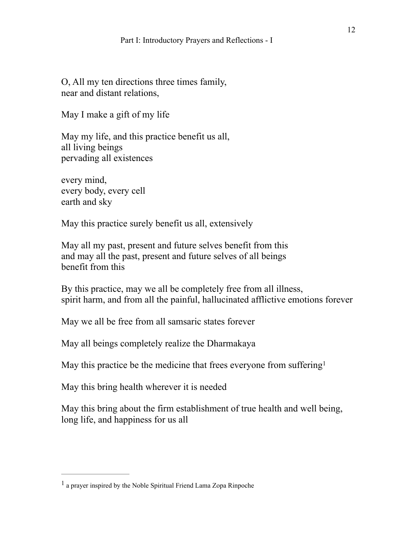O, All my ten directions three times family, near and distant relations,

May I make a gift of my life

May my life, and this practice benefit us all, all living beings pervading all existences

every mind, every body, every cell earth and sky

May this practice surely benefit us all, extensively

May all my past, present and future selves benefit from this and may all the past, present and future selves of all beings benefit from this

By this practice, may we all be completely free from all illness, spirit harm, and from all the painful, hallucinated afflictive emotions forever

May we all be free from all samsaric states forever

May all beings completely realize the Dharmakaya

<span id="page-14-1"></span>May this practice be the medicine that frees everyone from suffering<sup>[1](#page-14-0)</sup>

May this bring health wherever it is needed

May this bring about the firm establishment of true health and well being, long life, and happiness for us all

<span id="page-14-0"></span>a prayer inspired by the Noble Spiritual Friend Lama Zopa Rinpoche [1](#page-14-1)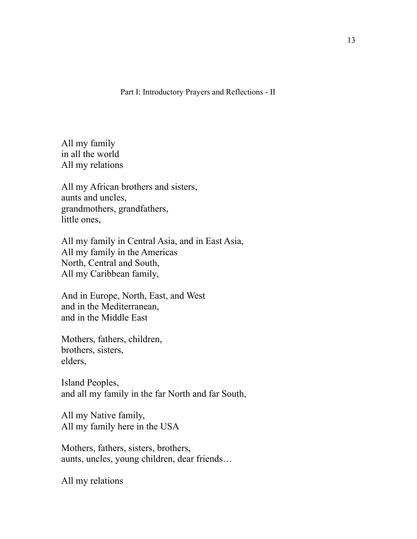Part I: Introductory Prayers and Reflections - II

All my family in all the world All my relations

All my African brothers and sisters, aunts and uncles, grandmothers, grandfathers, little ones,

All my family in Central Asia, and in East Asia, All my family in the Americas North, Central and South, All my Caribbean family,

And in Europe, North, East, and West and in the Mediterranean, and in the Middle East

Mothers, fathers, children, brothers, sisters, elders,

Island Peoples, and all my family in the far North and far South,

All my Native family, All my family here in the USA

Mothers, fathers, sisters, brothers, aunts, uncles, young children, dear friends…

All my relations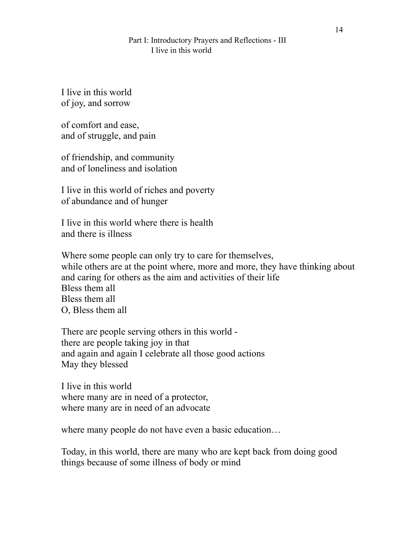I live in this world of joy, and sorrow

of comfort and ease, and of struggle, and pain

of friendship, and community and of loneliness and isolation

I live in this world of riches and poverty of abundance and of hunger

I live in this world where there is health and there is illness

Where some people can only try to care for themselves, while others are at the point where, more and more, they have thinking about and caring for others as the aim and activities of their life Bless them all Bless them all O, Bless them all

There are people serving others in this world there are people taking joy in that and again and again I celebrate all those good actions May they blessed

I live in this world where many are in need of a protector, where many are in need of an advocate

where many people do not have even a basic education…

Today, in this world, there are many who are kept back from doing good things because of some illness of body or mind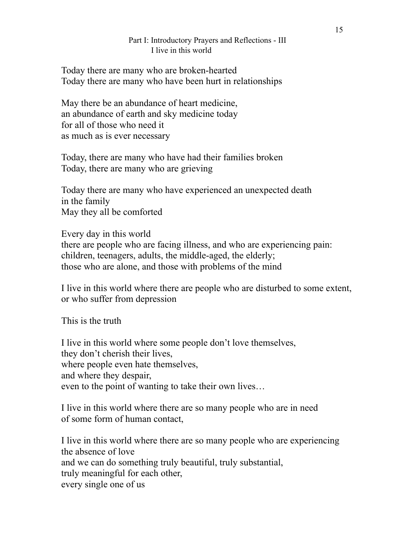Today there are many who are broken-hearted Today there are many who have been hurt in relationships

May there be an abundance of heart medicine, an abundance of earth and sky medicine today for all of those who need it as much as is ever necessary

Today, there are many who have had their families broken Today, there are many who are grieving

Today there are many who have experienced an unexpected death in the family May they all be comforted

Every day in this world there are people who are facing illness, and who are experiencing pain: children, teenagers, adults, the middle-aged, the elderly; those who are alone, and those with problems of the mind

I live in this world where there are people who are disturbed to some extent, or who suffer from depression

This is the truth

I live in this world where some people don't love themselves, they don't cherish their lives, where people even hate themselves, and where they despair, even to the point of wanting to take their own lives…

I live in this world where there are so many people who are in need of some form of human contact,

I live in this world where there are so many people who are experiencing the absence of love and we can do something truly beautiful, truly substantial, truly meaningful for each other, every single one of us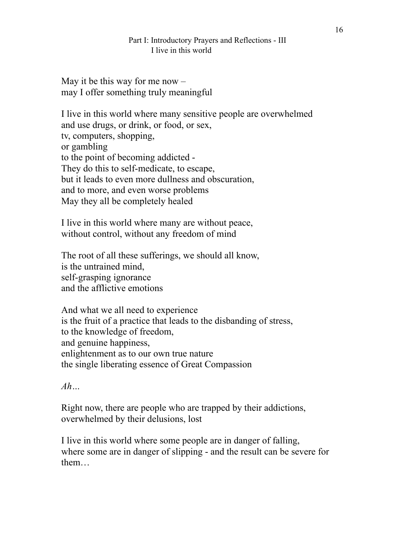May it be this way for me now  $$ may I offer something truly meaningful

I live in this world where many sensitive people are overwhelmed and use drugs, or drink, or food, or sex, tv, computers, shopping, or gambling to the point of becoming addicted - They do this to self-medicate, to escape, but it leads to even more dullness and obscuration, and to more, and even worse problems May they all be completely healed

I live in this world where many are without peace, without control, without any freedom of mind

The root of all these sufferings, we should all know, is the untrained mind, self-grasping ignorance and the afflictive emotions

And what we all need to experience is the fruit of a practice that leads to the disbanding of stress, to the knowledge of freedom, and genuine happiness, enlightenment as to our own true nature the single liberating essence of Great Compassion

*Ah…* 

Right now, there are people who are trapped by their addictions, overwhelmed by their delusions, lost

I live in this world where some people are in danger of falling, where some are in danger of slipping - and the result can be severe for them…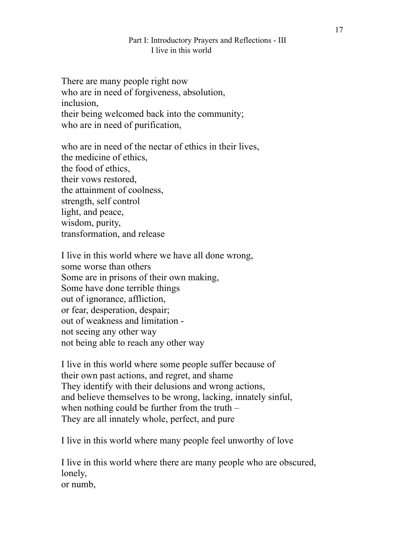There are many people right now who are in need of forgiveness, absolution, inclusion, their being welcomed back into the community; who are in need of purification,

who are in need of the nectar of ethics in their lives. the medicine of ethics, the food of ethics, their vows restored, the attainment of coolness, strength, self control light, and peace, wisdom, purity, transformation, and release

I live in this world where we have all done wrong, some worse than others Some are in prisons of their own making, Some have done terrible things out of ignorance, affliction, or fear, desperation, despair; out of weakness and limitation not seeing any other way not being able to reach any other way

I live in this world where some people suffer because of their own past actions, and regret, and shame They identify with their delusions and wrong actions, and believe themselves to be wrong, lacking, innately sinful, when nothing could be further from the truth – They are all innately whole, perfect, and pure

I live in this world where many people feel unworthy of love

I live in this world where there are many people who are obscured, lonely, or numb,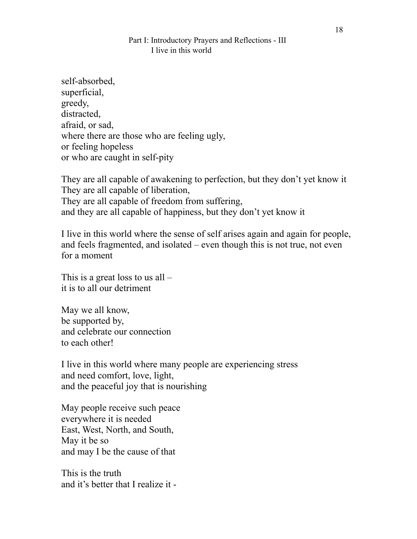self-absorbed, superficial, greedy, distracted, afraid, or sad, where there are those who are feeling ugly, or feeling hopeless or who are caught in self-pity

They are all capable of awakening to perfection, but they don't yet know it They are all capable of liberation, They are all capable of freedom from suffering, and they are all capable of happiness, but they don't yet know it

I live in this world where the sense of self arises again and again for people, and feels fragmented, and isolated – even though this is not true, not even for a moment

This is a great loss to us all – it is to all our detriment

May we all know, be supported by, and celebrate our connection to each other!

I live in this world where many people are experiencing stress and need comfort, love, light, and the peaceful joy that is nourishing

May people receive such peace everywhere it is needed East, West, North, and South, May it be so and may I be the cause of that

This is the truth and it's better that I realize it -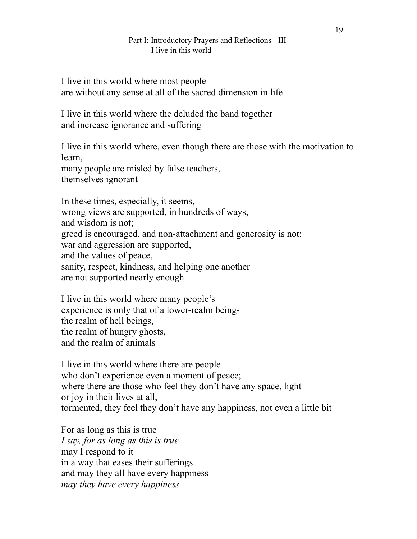I live in this world where most people are without any sense at all of the sacred dimension in life

I live in this world where the deluded the band together and increase ignorance and suffering

I live in this world where, even though there are those with the motivation to learn, many people are misled by false teachers,

themselves ignorant

In these times, especially, it seems, wrong views are supported, in hundreds of ways, and wisdom is not; greed is encouraged, and non-attachment and generosity is not; war and aggression are supported, and the values of peace, sanity, respect, kindness, and helping one another are not supported nearly enough

I live in this world where many people's experience is only that of a lower-realm beingthe realm of hell beings, the realm of hungry ghosts, and the realm of animals

I live in this world where there are people who don't experience even a moment of peace; where there are those who feel they don't have any space, light or joy in their lives at all, tormented, they feel they don't have any happiness, not even a little bit

For as long as this is true *I say, for as long as this is true*  may I respond to it in a way that eases their sufferings and may they all have every happiness *may they have every happiness*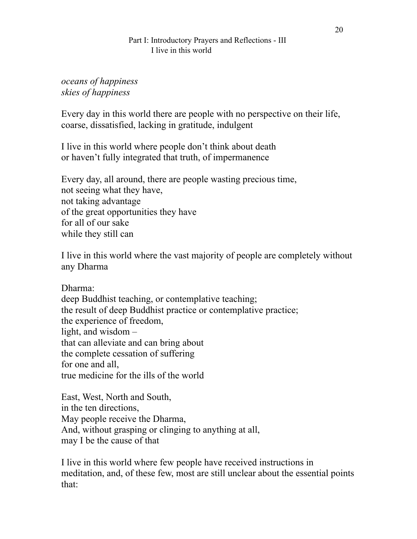## *oceans of happiness skies of happiness*

Every day in this world there are people with no perspective on their life, coarse, dissatisfied, lacking in gratitude, indulgent

I live in this world where people don't think about death or haven't fully integrated that truth, of impermanence

Every day, all around, there are people wasting precious time, not seeing what they have, not taking advantage of the great opportunities they have for all of our sake while they still can

I live in this world where the vast majority of people are completely without any Dharma

Dharma:

deep Buddhist teaching, or contemplative teaching; the result of deep Buddhist practice or contemplative practice; the experience of freedom, light, and wisdom – that can alleviate and can bring about the complete cessation of suffering for one and all, true medicine for the ills of the world

East, West, North and South, in the ten directions, May people receive the Dharma, And, without grasping or clinging to anything at all, may I be the cause of that

I live in this world where few people have received instructions in meditation, and, of these few, most are still unclear about the essential points that: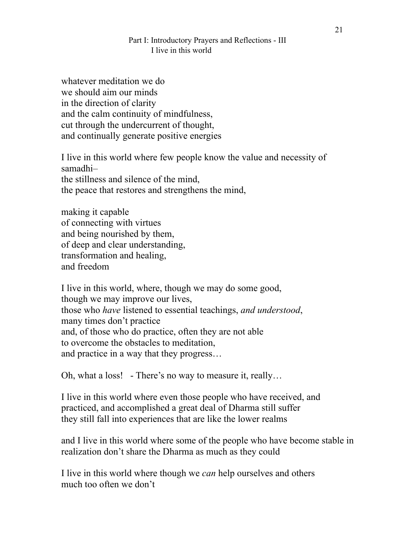whatever meditation we do we should aim our minds in the direction of clarity and the calm continuity of mindfulness, cut through the undercurrent of thought, and continually generate positive energies

I live in this world where few people know the value and necessity of samadhi– the stillness and silence of the mind, the peace that restores and strengthens the mind,

making it capable of connecting with virtues and being nourished by them, of deep and clear understanding, transformation and healing, and freedom

I live in this world, where, though we may do some good, though we may improve our lives, those who *have* listened to essential teachings, *and understood*, many times don't practice and, of those who do practice, often they are not able to overcome the obstacles to meditation, and practice in a way that they progress…

Oh, what a loss! - There's no way to measure it, really…

I live in this world where even those people who have received, and practiced, and accomplished a great deal of Dharma still suffer they still fall into experiences that are like the lower realms

and I live in this world where some of the people who have become stable in realization don't share the Dharma as much as they could

I live in this world where though we *can* help ourselves and others much too often we don't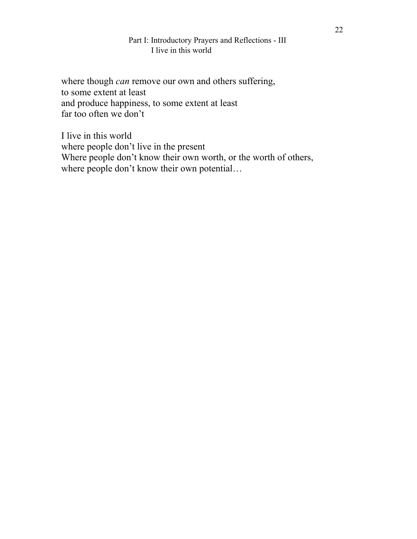where though *can* remove our own and others suffering, to some extent at least and produce happiness, to some extent at least far too often we don't

I live in this world where people don't live in the present Where people don't know their own worth, or the worth of others, where people don't know their own potential...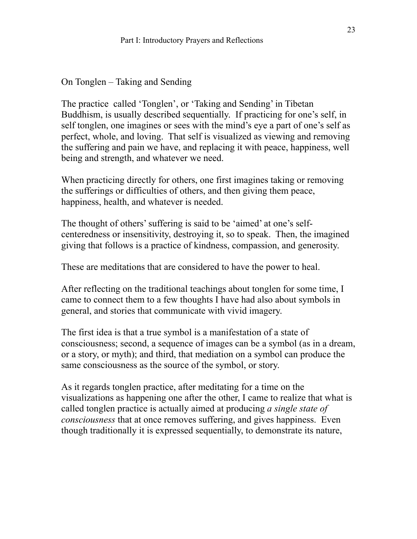On Tonglen – Taking and Sending

The practice called 'Tonglen', or 'Taking and Sending' in Tibetan Buddhism, is usually described sequentially. If practicing for one's self, in self tonglen, one imagines or sees with the mind's eye a part of one's self as perfect, whole, and loving. That self is visualized as viewing and removing the suffering and pain we have, and replacing it with peace, happiness, well being and strength, and whatever we need.

When practicing directly for others, one first imagines taking or removing the sufferings or difficulties of others, and then giving them peace, happiness, health, and whatever is needed.

The thought of others' suffering is said to be 'aimed' at one's selfcenteredness or insensitivity, destroying it, so to speak. Then, the imagined giving that follows is a practice of kindness, compassion, and generosity.

These are meditations that are considered to have the power to heal.

After reflecting on the traditional teachings about tonglen for some time, I came to connect them to a few thoughts I have had also about symbols in general, and stories that communicate with vivid imagery.

The first idea is that a true symbol is a manifestation of a state of consciousness; second, a sequence of images can be a symbol (as in a dream, or a story, or myth); and third, that mediation on a symbol can produce the same consciousness as the source of the symbol, or story.

As it regards tonglen practice, after meditating for a time on the visualizations as happening one after the other, I came to realize that what is called tonglen practice is actually aimed at producing *a single state of consciousness* that at once removes suffering, and gives happiness. Even though traditionally it is expressed sequentially, to demonstrate its nature,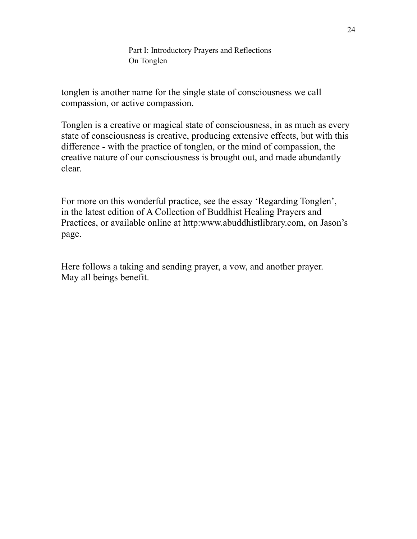Part I: Introductory Prayers and Reflections On Tonglen

tonglen is another name for the single state of consciousness we call compassion, or active compassion.

Tonglen is a creative or magical state of consciousness, in as much as every state of consciousness is creative, producing extensive effects, but with this difference - with the practice of tonglen, or the mind of compassion, the creative nature of our consciousness is brought out, and made abundantly clear.

For more on this wonderful practice, see the essay 'Regarding Tonglen', in the latest edition of A Collection of Buddhist Healing Prayers and Practices, or available online at http:www.abuddhistlibrary.com, on Jason's page.

Here follows a taking and sending prayer, a vow, and another prayer. May all beings benefit.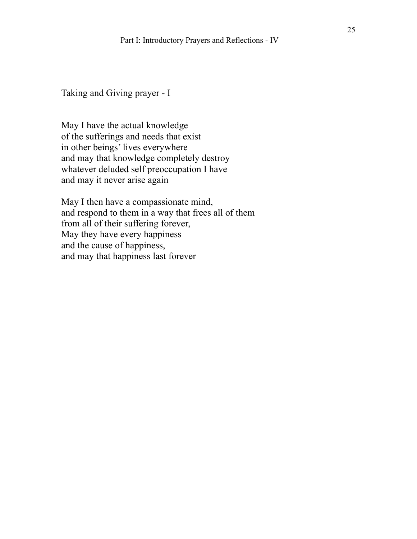Taking and Giving prayer - I

May I have the actual knowledge of the sufferings and needs that exist in other beings' lives everywhere and may that knowledge completely destroy whatever deluded self preoccupation I have and may it never arise again

May I then have a compassionate mind, and respond to them in a way that frees all of them from all of their suffering forever, May they have every happiness and the cause of happiness, and may that happiness last forever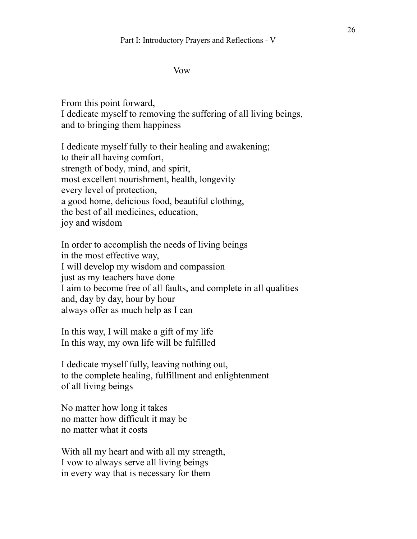#### Vow

From this point forward, I dedicate myself to removing the suffering of all living beings, and to bringing them happiness

I dedicate myself fully to their healing and awakening; to their all having comfort, strength of body, mind, and spirit, most excellent nourishment, health, longevity every level of protection, a good home, delicious food, beautiful clothing, the best of all medicines, education, joy and wisdom

In order to accomplish the needs of living beings in the most effective way, I will develop my wisdom and compassion just as my teachers have done I aim to become free of all faults, and complete in all qualities and, day by day, hour by hour always offer as much help as I can

In this way, I will make a gift of my life In this way, my own life will be fulfilled

I dedicate myself fully, leaving nothing out, to the complete healing, fulfillment and enlightenment of all living beings

No matter how long it takes no matter how difficult it may be no matter what it costs

With all my heart and with all my strength, I vow to always serve all living beings in every way that is necessary for them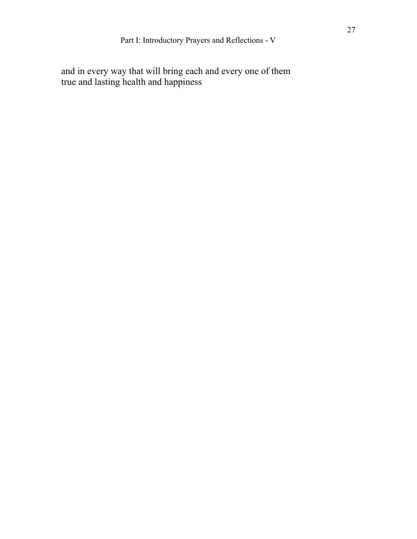and in every way that will bring each and every one of them true and lasting health and happiness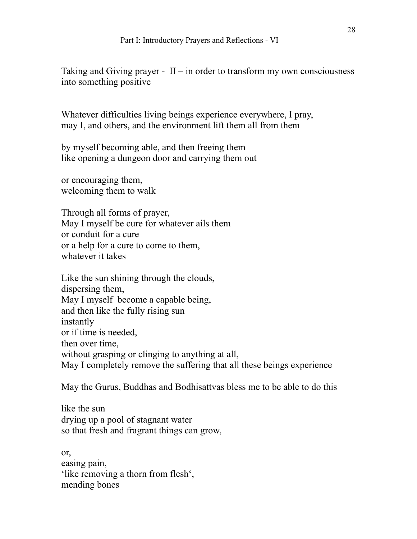Taking and Giving prayer -  $II$  – in order to transform my own consciousness into something positive

Whatever difficulties living beings experience everywhere, I pray, may I, and others, and the environment lift them all from them

by myself becoming able, and then freeing them like opening a dungeon door and carrying them out

or encouraging them, welcoming them to walk

Through all forms of prayer, May I myself be cure for whatever ails them or conduit for a cure or a help for a cure to come to them, whatever it takes

Like the sun shining through the clouds, dispersing them, May I myself become a capable being, and then like the fully rising sun instantly or if time is needed, then over time, without grasping or clinging to anything at all, May I completely remove the suffering that all these beings experience

May the Gurus, Buddhas and Bodhisattvas bless me to be able to do this

like the sun drying up a pool of stagnant water so that fresh and fragrant things can grow,

or, easing pain, 'like removing a thorn from flesh', mending bones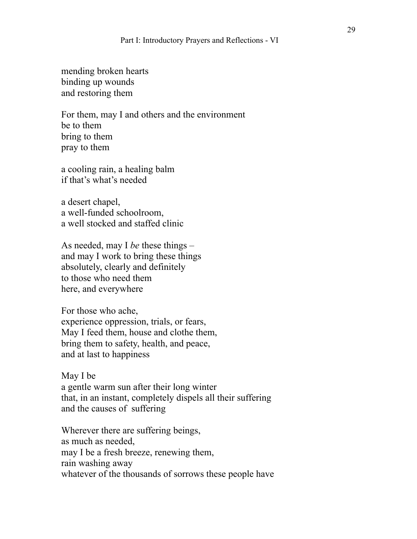mending broken hearts binding up wounds and restoring them

For them, may I and others and the environment be to them bring to them pray to them

a cooling rain, a healing balm if that's what's needed

a desert chapel, a well-funded schoolroom, a well stocked and staffed clinic

As needed, may I *be* these things – and may I work to bring these things absolutely, clearly and definitely to those who need them here, and everywhere

For those who ache, experience oppression, trials, or fears, May I feed them, house and clothe them, bring them to safety, health, and peace, and at last to happiness

May I be a gentle warm sun after their long winter that, in an instant, completely dispels all their suffering and the causes of suffering

Wherever there are suffering beings, as much as needed, may I be a fresh breeze, renewing them, rain washing away whatever of the thousands of sorrows these people have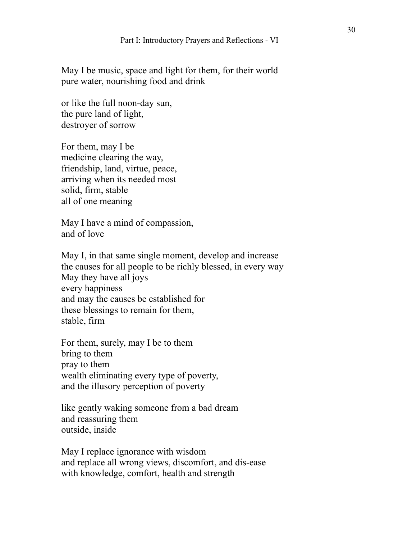May I be music, space and light for them, for their world pure water, nourishing food and drink

or like the full noon-day sun, the pure land of light, destroyer of sorrow

For them, may I be medicine clearing the way, friendship, land, virtue, peace, arriving when its needed most solid, firm, stable all of one meaning

May I have a mind of compassion, and of love

May I, in that same single moment, develop and increase the causes for all people to be richly blessed, in every way May they have all joys every happiness and may the causes be established for these blessings to remain for them, stable, firm

For them, surely, may I be to them bring to them pray to them wealth eliminating every type of poverty, and the illusory perception of poverty

like gently waking someone from a bad dream and reassuring them outside, inside

May I replace ignorance with wisdom and replace all wrong views, discomfort, and dis-ease with knowledge, comfort, health and strength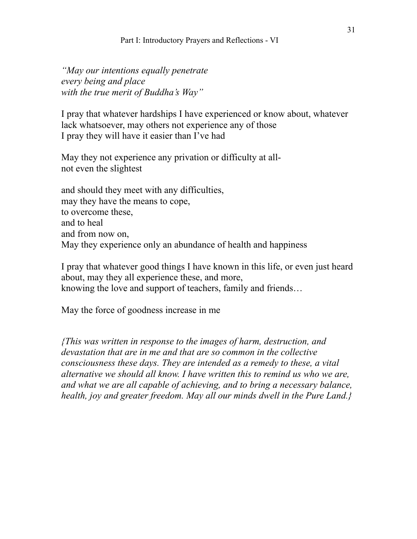#### Part I: Introductory Prayers and Reflections - VI

*"May our intentions equally penetrate every being and place with the true merit of Buddha's Way"*

I pray that whatever hardships I have experienced or know about, whatever lack whatsoever, may others not experience any of those I pray they will have it easier than I've had

May they not experience any privation or difficulty at allnot even the slightest

and should they meet with any difficulties, may they have the means to cope, to overcome these, and to heal and from now on, May they experience only an abundance of health and happiness

I pray that whatever good things I have known in this life, or even just heard about, may they all experience these, and more, knowing the love and support of teachers, family and friends…

May the force of goodness increase in me

*{This was written in response to the images of harm, destruction, and devastation that are in me and that are so common in the collective consciousness these days. They are intended as a remedy to these, a vital alternative we should all know. I have written this to remind us who we are, and what we are all capable of achieving, and to bring a necessary balance, health, joy and greater freedom. May all our minds dwell in the Pure Land.}*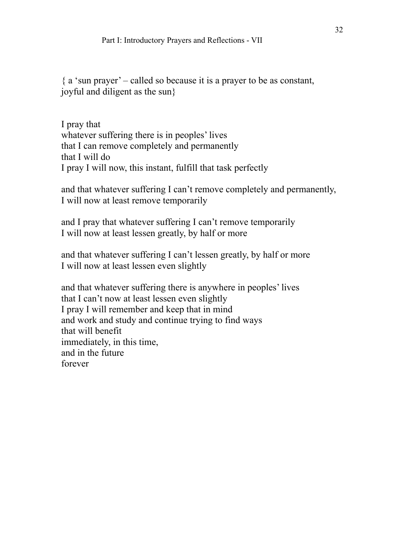${ a$  'sun prayer' – called so because it is a prayer to be as constant, joyful and diligent as the sun}

I pray that whatever suffering there is in peoples' lives that I can remove completely and permanently that I will do I pray I will now, this instant, fulfill that task perfectly

and that whatever suffering I can't remove completely and permanently, I will now at least remove temporarily

and I pray that whatever suffering I can't remove temporarily I will now at least lessen greatly, by half or more

and that whatever suffering I can't lessen greatly, by half or more I will now at least lessen even slightly

and that whatever suffering there is anywhere in peoples' lives that I can't now at least lessen even slightly I pray I will remember and keep that in mind and work and study and continue trying to find ways that will benefit immediately, in this time, and in the future forever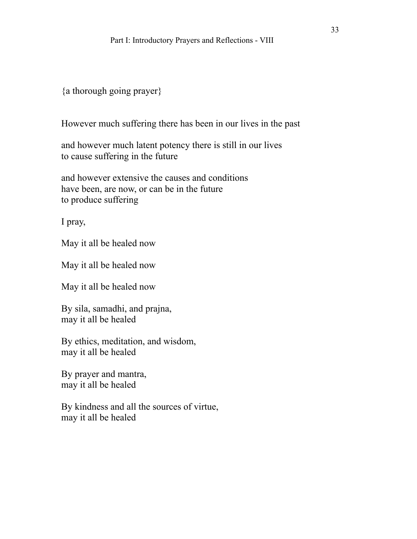# {a thorough going prayer}

However much suffering there has been in our lives in the past

and however much latent potency there is still in our lives to cause suffering in the future

and however extensive the causes and conditions have been, are now, or can be in the future to produce suffering

I pray,

May it all be healed now

May it all be healed now

May it all be healed now

By sila, samadhi, and prajna, may it all be healed

By ethics, meditation, and wisdom, may it all be healed

By prayer and mantra, may it all be healed

By kindness and all the sources of virtue, may it all be healed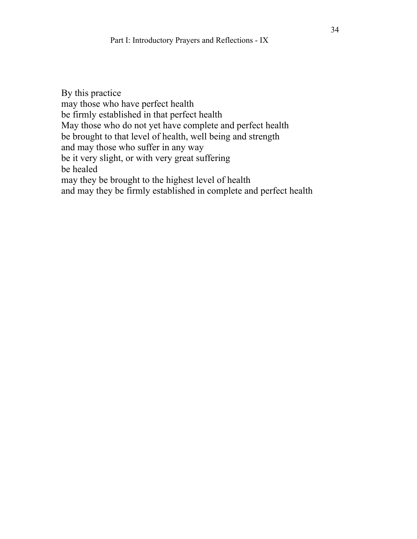By this practice may those who have perfect health be firmly established in that perfect health May those who do not yet have complete and perfect health be brought to that level of health, well being and strength and may those who suffer in any way be it very slight, or with very great suffering be healed may they be brought to the highest level of health and may they be firmly established in complete and perfect health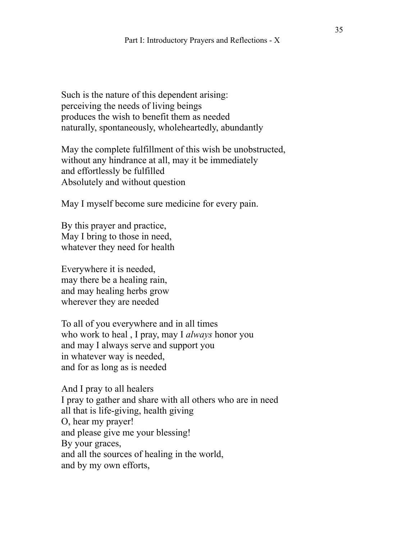Such is the nature of this dependent arising: perceiving the needs of living beings produces the wish to benefit them as needed naturally, spontaneously, wholeheartedly, abundantly

May the complete fulfillment of this wish be unobstructed, without any hindrance at all, may it be immediately and effortlessly be fulfilled Absolutely and without question

May I myself become sure medicine for every pain.

By this prayer and practice, May I bring to those in need, whatever they need for health

Everywhere it is needed, may there be a healing rain, and may healing herbs grow wherever they are needed

To all of you everywhere and in all times who work to heal , I pray, may I *always* honor you and may I always serve and support you in whatever way is needed, and for as long as is needed

And I pray to all healers I pray to gather and share with all others who are in need all that is life-giving, health giving O, hear my prayer! and please give me your blessing! By your graces, and all the sources of healing in the world, and by my own efforts,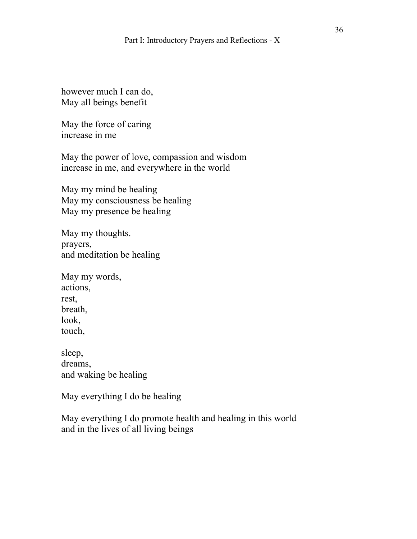however much I can do, May all beings benefit

May the force of caring increase in me

May the power of love, compassion and wisdom increase in me, and everywhere in the world

May my mind be healing May my consciousness be healing May my presence be healing

May my thoughts. prayers, and meditation be healing

May my words, actions, rest, breath, look, touch,

sleep, dreams, and waking be healing

May everything I do be healing

May everything I do promote health and healing in this world and in the lives of all living beings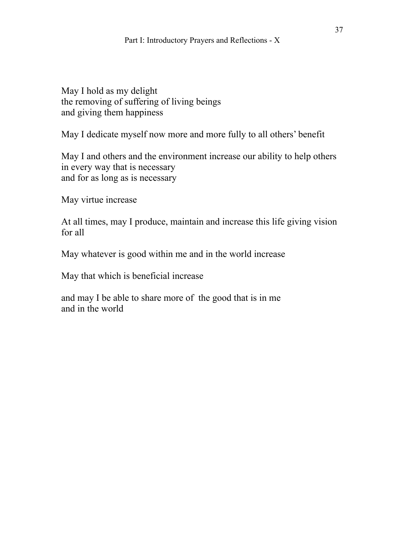May I hold as my delight the removing of suffering of living beings and giving them happiness

May I dedicate myself now more and more fully to all others' benefit

May I and others and the environment increase our ability to help others in every way that is necessary and for as long as is necessary

May virtue increase

At all times, may I produce, maintain and increase this life giving vision for all

May whatever is good within me and in the world increase

May that which is beneficial increase

and may I be able to share more of the good that is in me and in the world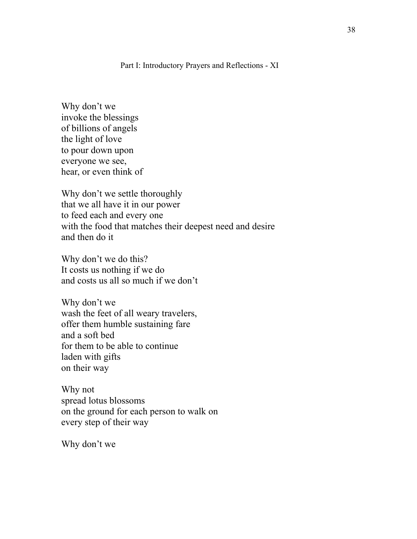Part I: Introductory Prayers and Reflections - XI

Why don't we invoke the blessings of billions of angels the light of love to pour down upon everyone we see, hear, or even think of

Why don't we settle thoroughly that we all have it in our power to feed each and every one with the food that matches their deepest need and desire and then do it

Why don't we do this? It costs us nothing if we do and costs us all so much if we don't

Why don't we wash the feet of all weary travelers, offer them humble sustaining fare and a soft bed for them to be able to continue laden with gifts on their way

Why not spread lotus blossoms on the ground for each person to walk on every step of their way

Why don't we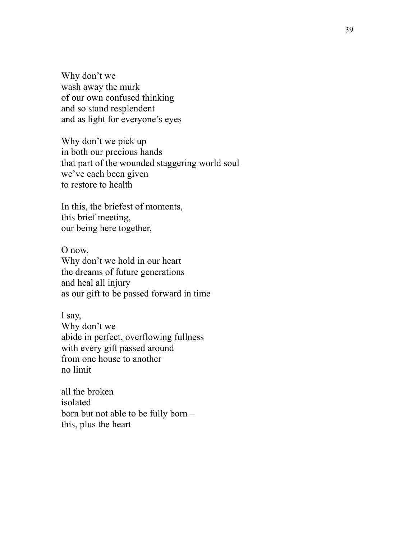Why don't we wash away the murk of our own confused thinking and so stand resplendent and as light for everyone's eyes

Why don't we pick up in both our precious hands that part of the wounded staggering world soul we've each been given to restore to health

In this, the briefest of moments, this brief meeting, our being here together,

O now, Why don't we hold in our heart the dreams of future generations and heal all injury as our gift to be passed forward in time

I say, Why don't we abide in perfect, overflowing fullness with every gift passed around from one house to another no limit

all the broken isolated born but not able to be fully born – this, plus the heart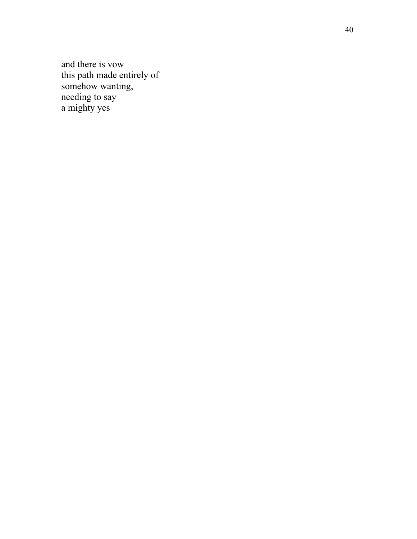and there is vow this path made entirely of somehow wanting, needing to say a mighty yes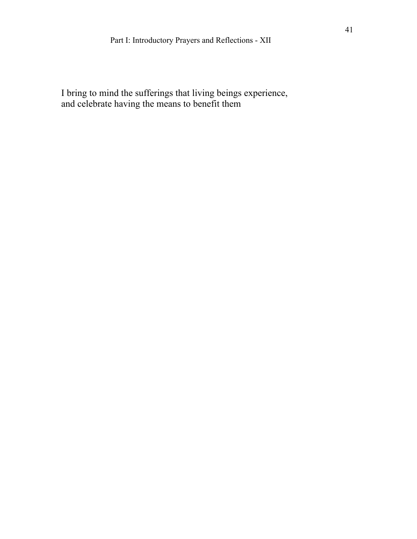I bring to mind the sufferings that living beings experience, and celebrate having the means to benefit them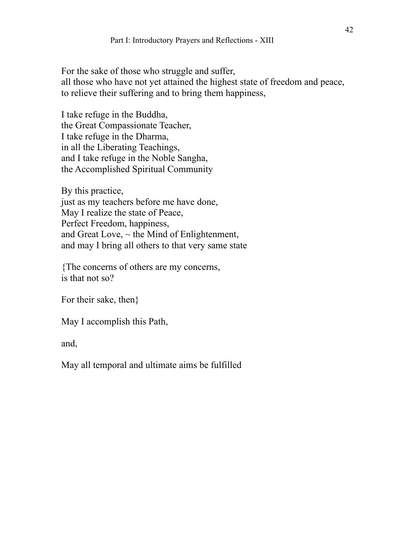For the sake of those who struggle and suffer, all those who have not yet attained the highest state of freedom and peace, to relieve their suffering and to bring them happiness,

I take refuge in the Buddha, the Great Compassionate Teacher, I take refuge in the Dharma, in all the Liberating Teachings, and I take refuge in the Noble Sangha, the Accomplished Spiritual Community

By this practice, just as my teachers before me have done, May I realize the state of Peace, Perfect Freedom, happiness, and Great Love,  $\sim$  the Mind of Enlightenment, and may I bring all others to that very same state

{The concerns of others are my concerns, is that not so?

For their sake, then}

May I accomplish this Path,

and,

May all temporal and ultimate aims be fulfilled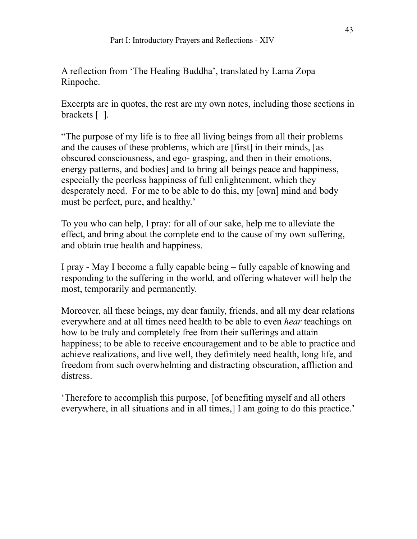A reflection from 'The Healing Buddha', translated by Lama Zopa Rinpoche.

Excerpts are in quotes, the rest are my own notes, including those sections in brackets [ ].

"The purpose of my life is to free all living beings from all their problems and the causes of these problems, which are [first] in their minds, [as obscured consciousness, and ego- grasping, and then in their emotions, energy patterns, and bodies] and to bring all beings peace and happiness, especially the peerless happiness of full enlightenment, which they desperately need. For me to be able to do this, my [own] mind and body must be perfect, pure, and healthy.'

To you who can help, I pray: for all of our sake, help me to alleviate the effect, and bring about the complete end to the cause of my own suffering, and obtain true health and happiness.

I pray - May I become a fully capable being – fully capable of knowing and responding to the suffering in the world, and offering whatever will help the most, temporarily and permanently.

Moreover, all these beings, my dear family, friends, and all my dear relations everywhere and at all times need health to be able to even *hear* teachings on how to be truly and completely free from their sufferings and attain happiness; to be able to receive encouragement and to be able to practice and achieve realizations, and live well, they definitely need health, long life, and freedom from such overwhelming and distracting obscuration, affliction and distress.

'Therefore to accomplish this purpose, [of benefiting myself and all others everywhere, in all situations and in all times,] I am going to do this practice.'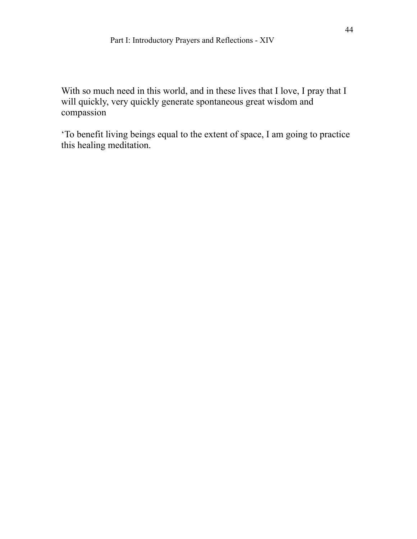With so much need in this world, and in these lives that I love, I pray that I will quickly, very quickly generate spontaneous great wisdom and compassion

'To benefit living beings equal to the extent of space, I am going to practice this healing meditation.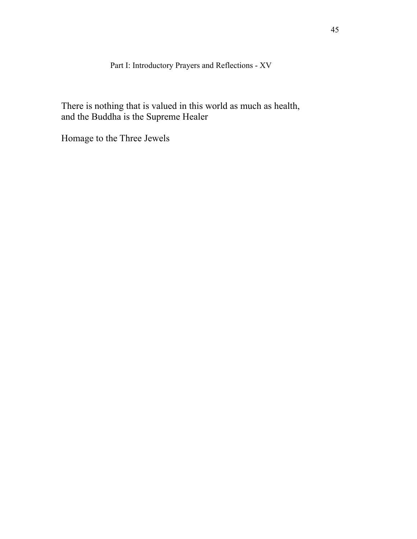Part I: Introductory Prayers and Reflections - XV

There is nothing that is valued in this world as much as health, and the Buddha is the Supreme Healer

Homage to the Three Jewels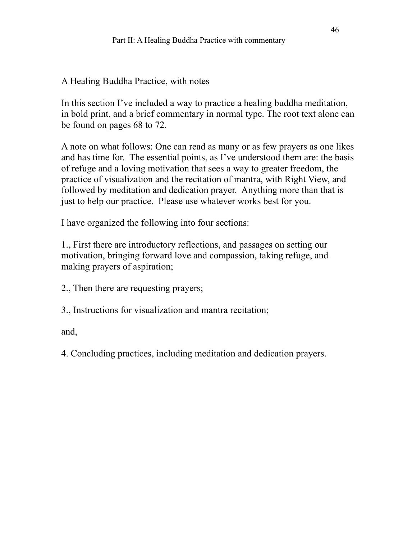A Healing Buddha Practice, with notes

In this section I've included a way to practice a healing buddha meditation, in bold print, and a brief commentary in normal type. The root text alone can be found on pages 68 to 72.

A note on what follows: One can read as many or as few prayers as one likes and has time for. The essential points, as I've understood them are: the basis of refuge and a loving motivation that sees a way to greater freedom, the practice of visualization and the recitation of mantra, with Right View, and followed by meditation and dedication prayer. Anything more than that is just to help our practice. Please use whatever works best for you.

I have organized the following into four sections:

1., First there are introductory reflections, and passages on setting our motivation, bringing forward love and compassion, taking refuge, and making prayers of aspiration;

- 2., Then there are requesting prayers;
- 3., Instructions for visualization and mantra recitation;

and,

4. Concluding practices, including meditation and dedication prayers.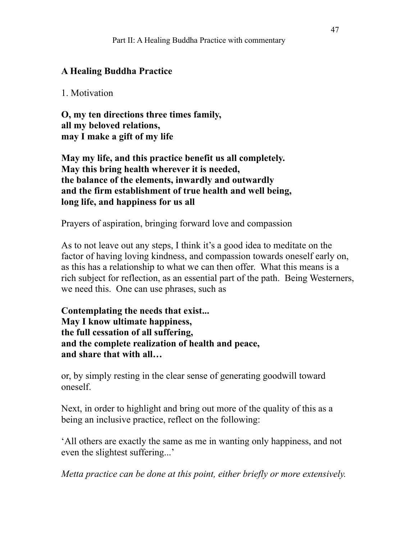## **A Healing Buddha Practice**

### 1. Motivation

**O, my ten directions three times family, all my beloved relations, may I make a gift of my life** 

**May my life, and this practice benefit us all completely. May this bring health wherever it is needed, the balance of the elements, inwardly and outwardly and the firm establishment of true health and well being, long life, and happiness for us all** 

Prayers of aspiration, bringing forward love and compassion

As to not leave out any steps, I think it's a good idea to meditate on the factor of having loving kindness, and compassion towards oneself early on, as this has a relationship to what we can then offer. What this means is a rich subject for reflection, as an essential part of the path. Being Westerners, we need this. One can use phrases, such as

**Contemplating the needs that exist... May I know ultimate happiness, the full cessation of all suffering, and the complete realization of health and peace, and share that with all…** 

or, by simply resting in the clear sense of generating goodwill toward oneself.

Next, in order to highlight and bring out more of the quality of this as a being an inclusive practice, reflect on the following:

'All others are exactly the same as me in wanting only happiness, and not even the slightest suffering...'

*Metta practice can be done at this point, either briefly or more extensively.*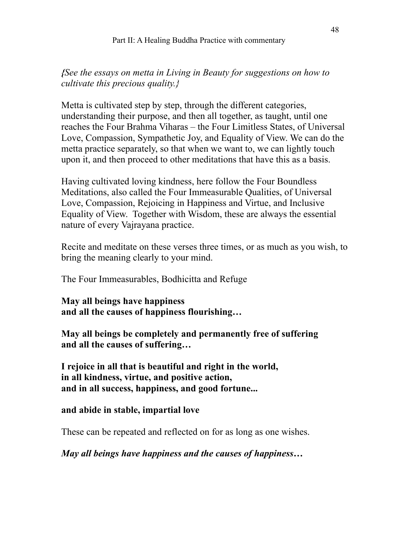*{See the essays on metta in Living in Beauty for suggestions on how to cultivate this precious quality.}* 

Metta is cultivated step by step, through the different categories, understanding their purpose, and then all together, as taught, until one reaches the Four Brahma Viharas – the Four Limitless States, of Universal Love, Compassion, Sympathetic Joy, and Equality of View. We can do the metta practice separately, so that when we want to, we can lightly touch upon it, and then proceed to other meditations that have this as a basis.

Having cultivated loving kindness, here follow the Four Boundless Meditations, also called the Four Immeasurable Qualities, of Universal Love, Compassion, Rejoicing in Happiness and Virtue, and Inclusive Equality of View. Together with Wisdom, these are always the essential nature of every Vajrayana practice.

Recite and meditate on these verses three times, or as much as you wish, to bring the meaning clearly to your mind.

The Four Immeasurables, Bodhicitta and Refuge

**May all beings have happiness and all the causes of happiness flourishing…** 

**May all beings be completely and permanently free of suffering and all the causes of suffering…** 

**I rejoice in all that is beautiful and right in the world, in all kindness, virtue, and positive action, and in all success, happiness, and good fortune...** 

### **and abide in stable, impartial love**

These can be repeated and reflected on for as long as one wishes.

*May all beings have happiness and the causes of happiness…*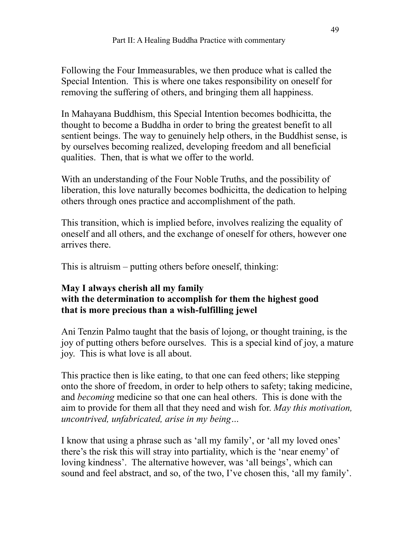Following the Four Immeasurables, we then produce what is called the Special Intention. This is where one takes responsibility on oneself for removing the suffering of others, and bringing them all happiness.

In Mahayana Buddhism, this Special Intention becomes bodhicitta, the thought to become a Buddha in order to bring the greatest benefit to all sentient beings. The way to genuinely help others, in the Buddhist sense, is by ourselves becoming realized, developing freedom and all beneficial qualities. Then, that is what we offer to the world.

With an understanding of the Four Noble Truths, and the possibility of liberation, this love naturally becomes bodhicitta, the dedication to helping others through ones practice and accomplishment of the path.

This transition, which is implied before, involves realizing the equality of oneself and all others, and the exchange of oneself for others, however one arrives there.

This is altruism – putting others before oneself, thinking:

### **May I always cherish all my family with the determination to accomplish for them the highest good that is more precious than a wish-fulfilling jewel**

Ani Tenzin Palmo taught that the basis of lojong, or thought training, is the joy of putting others before ourselves. This is a special kind of joy, a mature joy. This is what love is all about.

This practice then is like eating, to that one can feed others; like stepping onto the shore of freedom, in order to help others to safety; taking medicine, and *becoming* medicine so that one can heal others. This is done with the aim to provide for them all that they need and wish for. *May this motivation, uncontrived, unfabricated, arise in my being…* 

I know that using a phrase such as 'all my family', or 'all my loved ones' there's the risk this will stray into partiality, which is the 'near enemy' of loving kindness'. The alternative however, was 'all beings', which can sound and feel abstract, and so, of the two, I've chosen this, 'all my family'.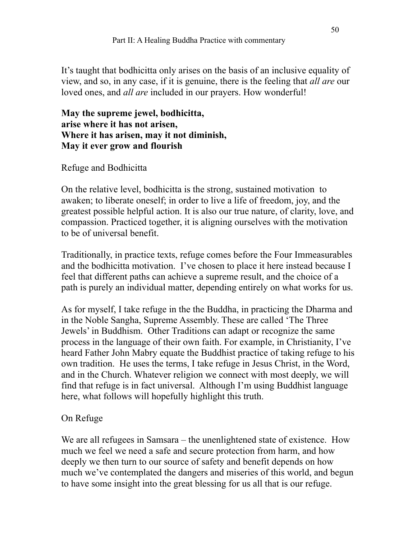It's taught that bodhicitta only arises on the basis of an inclusive equality of view, and so, in any case, if it is genuine, there is the feeling that *all are* our loved ones, and *all are* included in our prayers. How wonderful!

**May the supreme jewel, bodhicitta, arise where it has not arisen, Where it has arisen, may it not diminish, May it ever grow and flourish** 

# Refuge and Bodhicitta

On the relative level, bodhicitta is the strong, sustained motivation to awaken; to liberate oneself; in order to live a life of freedom, joy, and the greatest possible helpful action. It is also our true nature, of clarity, love, and compassion. Practiced together, it is aligning ourselves with the motivation to be of universal benefit.

Traditionally, in practice texts, refuge comes before the Four Immeasurables and the bodhicitta motivation. I've chosen to place it here instead because I feel that different paths can achieve a supreme result, and the choice of a path is purely an individual matter, depending entirely on what works for us.

As for myself, I take refuge in the the Buddha, in practicing the Dharma and in the Noble Sangha, Supreme Assembly. These are called 'The Three Jewels' in Buddhism. Other Traditions can adapt or recognize the same process in the language of their own faith. For example, in Christianity, I've heard Father John Mabry equate the Buddhist practice of taking refuge to his own tradition. He uses the terms, I take refuge in Jesus Christ, in the Word, and in the Church. Whatever religion we connect with most deeply, we will find that refuge is in fact universal. Although I'm using Buddhist language here, what follows will hopefully highlight this truth.

# On Refuge

We are all refugees in Samsara – the unenlightened state of existence. How much we feel we need a safe and secure protection from harm, and how deeply we then turn to our source of safety and benefit depends on how much we've contemplated the dangers and miseries of this world, and begun to have some insight into the great blessing for us all that is our refuge.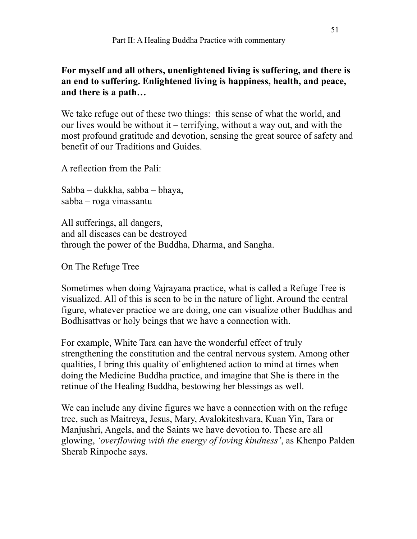### **For myself and all others, unenlightened living is suffering, and there is an end to suffering. Enlightened living is happiness, health, and peace, and there is a path…**

We take refuge out of these two things: this sense of what the world, and our lives would be without it – terrifying, without a way out, and with the most profound gratitude and devotion, sensing the great source of safety and benefit of our Traditions and Guides.

A reflection from the Pali:

Sabba – dukkha, sabba – bhaya, sabba – roga vinassantu

All sufferings, all dangers, and all diseases can be destroyed through the power of the Buddha, Dharma, and Sangha.

On The Refuge Tree

Sometimes when doing Vajrayana practice, what is called a Refuge Tree is visualized. All of this is seen to be in the nature of light. Around the central figure, whatever practice we are doing, one can visualize other Buddhas and Bodhisattvas or holy beings that we have a connection with.

For example, White Tara can have the wonderful effect of truly strengthening the constitution and the central nervous system. Among other qualities, I bring this quality of enlightened action to mind at times when doing the Medicine Buddha practice, and imagine that She is there in the retinue of the Healing Buddha, bestowing her blessings as well.

We can include any divine figures we have a connection with on the refuge tree, such as Maitreya, Jesus, Mary, Avalokiteshvara, Kuan Yin, Tara or Manjushri, Angels, and the Saints we have devotion to. These are all glowing, *'overflowing with the energy of loving kindness'*, as Khenpo Palden Sherab Rinpoche says.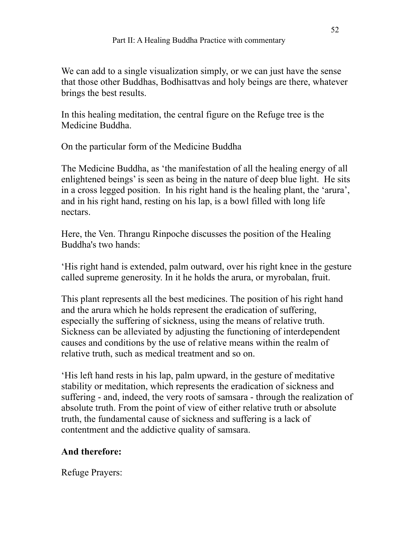We can add to a single visualization simply, or we can just have the sense that those other Buddhas, Bodhisattvas and holy beings are there, whatever brings the best results.

In this healing meditation, the central figure on the Refuge tree is the Medicine Buddha.

On the particular form of the Medicine Buddha

The Medicine Buddha, as 'the manifestation of all the healing energy of all enlightened beings' is seen as being in the nature of deep blue light. He sits in a cross legged position. In his right hand is the healing plant, the 'arura', and in his right hand, resting on his lap, is a bowl filled with long life nectars.

Here, the Ven. Thrangu Rinpoche discusses the position of the Healing Buddha's two hands:

'His right hand is extended, palm outward, over his right knee in the gesture called supreme generosity. In it he holds the arura, or myrobalan, fruit.

This plant represents all the best medicines. The position of his right hand and the arura which he holds represent the eradication of suffering, especially the suffering of sickness, using the means of relative truth. Sickness can be alleviated by adjusting the functioning of interdependent causes and conditions by the use of relative means within the realm of relative truth, such as medical treatment and so on.

'His left hand rests in his lap, palm upward, in the gesture of meditative stability or meditation, which represents the eradication of sickness and suffering - and, indeed, the very roots of samsara - through the realization of absolute truth. From the point of view of either relative truth or absolute truth, the fundamental cause of sickness and suffering is a lack of contentment and the addictive quality of samsara.

# **And therefore:**

Refuge Prayers: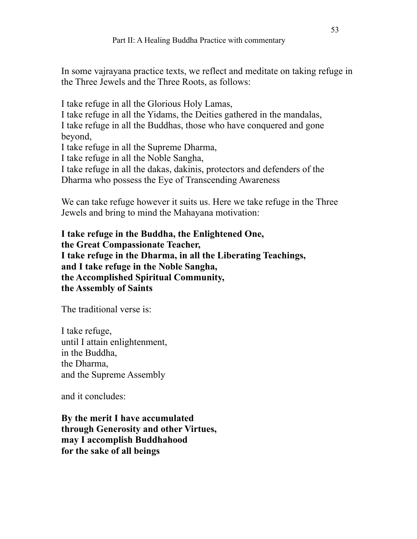In some vajrayana practice texts, we reflect and meditate on taking refuge in the Three Jewels and the Three Roots, as follows:

I take refuge in all the Glorious Holy Lamas, I take refuge in all the Yidams, the Deities gathered in the mandalas, I take refuge in all the Buddhas, those who have conquered and gone beyond, I take refuge in all the Supreme Dharma,

I take refuge in all the Noble Sangha,

I take refuge in all the dakas, dakinis, protectors and defenders of the Dharma who possess the Eye of Transcending Awareness

We can take refuge however it suits us. Here we take refuge in the Three Jewels and bring to mind the Mahayana motivation:

**I take refuge in the Buddha, the Enlightened One, the Great Compassionate Teacher, I take refuge in the Dharma, in all the Liberating Teachings, and I take refuge in the Noble Sangha, the Accomplished Spiritual Community, the Assembly of Saints**

The traditional verse is:

I take refuge, until I attain enlightenment, in the Buddha, the Dharma, and the Supreme Assembly

and it concludes:

**By the merit I have accumulated through Generosity and other Virtues, may I accomplish Buddhahood for the sake of all beings**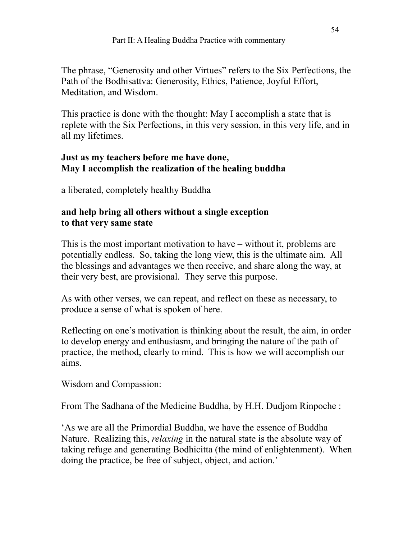The phrase, "Generosity and other Virtues" refers to the Six Perfections, the Path of the Bodhisattva: Generosity, Ethics, Patience, Joyful Effort, Meditation, and Wisdom.

This practice is done with the thought: May I accomplish a state that is replete with the Six Perfections, in this very session, in this very life, and in all my lifetimes.

### **Just as my teachers before me have done, May I accomplish the realization of the healing buddha**

a liberated, completely healthy Buddha

### **and help bring all others without a single exception to that very same state**

This is the most important motivation to have – without it, problems are potentially endless. So, taking the long view, this is the ultimate aim. All the blessings and advantages we then receive, and share along the way, at their very best, are provisional. They serve this purpose.

As with other verses, we can repeat, and reflect on these as necessary, to produce a sense of what is spoken of here.

Reflecting on one's motivation is thinking about the result, the aim, in order to develop energy and enthusiasm, and bringing the nature of the path of practice, the method, clearly to mind. This is how we will accomplish our aims.

Wisdom and Compassion:

From The Sadhana of the Medicine Buddha, by H.H. Dudjom Rinpoche :

'As we are all the Primordial Buddha, we have the essence of Buddha Nature. Realizing this, *relaxing* in the natural state is the absolute way of taking refuge and generating Bodhicitta (the mind of enlightenment). When doing the practice, be free of subject, object, and action.'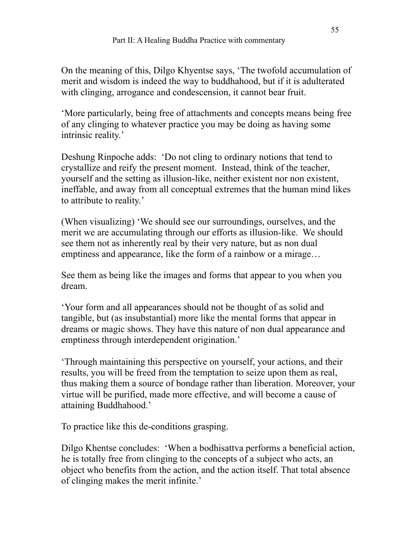On the meaning of this, Dilgo Khyentse says, 'The twofold accumulation of merit and wisdom is indeed the way to buddhahood, but if it is adulterated with clinging, arrogance and condescension, it cannot bear fruit.

'More particularly, being free of attachments and concepts means being free of any clinging to whatever practice you may be doing as having some intrinsic reality.'

Deshung Rinpoche adds: 'Do not cling to ordinary notions that tend to crystallize and reify the present moment. Instead, think of the teacher, yourself and the setting as illusion-like, neither existent nor non existent, ineffable, and away from all conceptual extremes that the human mind likes to attribute to reality.'

(When visualizing) 'We should see our surroundings, ourselves, and the merit we are accumulating through our efforts as illusion-like. We should see them not as inherently real by their very nature, but as non dual emptiness and appearance, like the form of a rainbow or a mirage…

See them as being like the images and forms that appear to you when you dream.

'Your form and all appearances should not be thought of as solid and tangible, but (as insubstantial) more like the mental forms that appear in dreams or magic shows. They have this nature of non dual appearance and emptiness through interdependent origination.'

'Through maintaining this perspective on yourself, your actions, and their results, you will be freed from the temptation to seize upon them as real, thus making them a source of bondage rather than liberation. Moreover, your virtue will be purified, made more effective, and will become a cause of attaining Buddhahood.'

To practice like this de-conditions grasping.

Dilgo Khentse concludes: 'When a bodhisattva performs a beneficial action, he is totally free from clinging to the concepts of a subject who acts, an object who benefits from the action, and the action itself. That total absence of clinging makes the merit infinite.'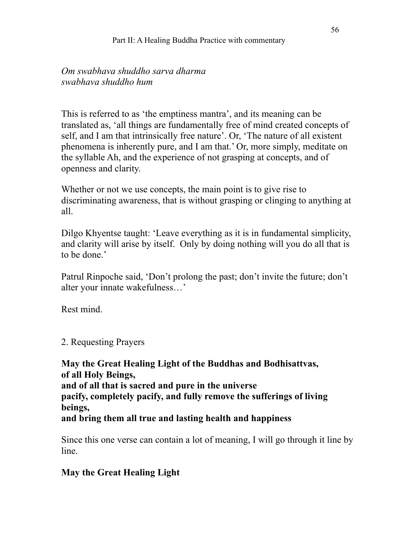*Om swabhava shuddho sarva dharma swabhava shuddho hum* 

This is referred to as 'the emptiness mantra', and its meaning can be translated as, 'all things are fundamentally free of mind created concepts of self, and I am that intrinsically free nature'. Or, 'The nature of all existent phenomena is inherently pure, and I am that.' Or, more simply, meditate on the syllable Ah, and the experience of not grasping at concepts, and of openness and clarity.

Whether or not we use concepts, the main point is to give rise to discriminating awareness, that is without grasping or clinging to anything at all.

Dilgo Khyentse taught: 'Leave everything as it is in fundamental simplicity, and clarity will arise by itself. Only by doing nothing will you do all that is to be done.'

Patrul Rinpoche said, 'Don't prolong the past; don't invite the future; don't alter your innate wakefulness…'

Rest mind.

2. Requesting Prayers

**May the Great Healing Light of the Buddhas and Bodhisattvas, of all Holy Beings, and of all that is sacred and pure in the universe pacify, completely pacify, and fully remove the sufferings of living beings, and bring them all true and lasting health and happiness** 

Since this one verse can contain a lot of meaning, I will go through it line by line.

### **May the Great Healing Light**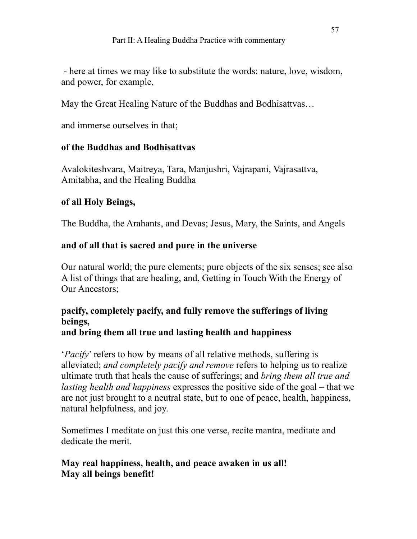- here at times we may like to substitute the words: nature, love, wisdom, and power, for example,

May the Great Healing Nature of the Buddhas and Bodhisattvas…

and immerse ourselves in that;

### **of the Buddhas and Bodhisattvas**

Avalokiteshvara, Maitreya, Tara, Manjushri, Vajrapani, Vajrasattva, Amitabha, and the Healing Buddha

### **of all Holy Beings,**

The Buddha, the Arahants, and Devas; Jesus, Mary, the Saints, and Angels

### **and of all that is sacred and pure in the universe**

Our natural world; the pure elements; pure objects of the six senses; see also A list of things that are healing, and, Getting in Touch With the Energy of Our Ancestors;

# **pacify, completely pacify, and fully remove the sufferings of living beings,**

### **and bring them all true and lasting health and happiness**

'*Pacify*' refers to how by means of all relative methods, suffering is alleviated; *and completely pacify and remove* refers to helping us to realize ultimate truth that heals the cause of sufferings; and *bring them all true and lasting health and happiness* expresses the positive side of the goal – that we are not just brought to a neutral state, but to one of peace, health, happiness, natural helpfulness, and joy.

Sometimes I meditate on just this one verse, recite mantra, meditate and dedicate the merit.

### **May real happiness, health, and peace awaken in us all! May all beings benefit!**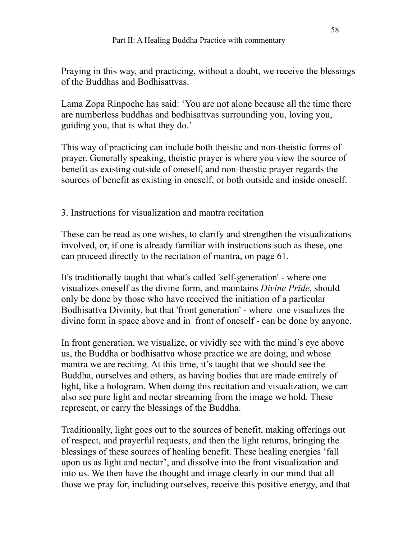Praying in this way, and practicing, without a doubt, we receive the blessings of the Buddhas and Bodhisattvas.

Lama Zopa Rinpoche has said: 'You are not alone because all the time there are numberless buddhas and bodhisattvas surrounding you, loving you, guiding you, that is what they do.'

This way of practicing can include both theistic and non-theistic forms of prayer. Generally speaking, theistic prayer is where you view the source of benefit as existing outside of oneself, and non-theistic prayer regards the sources of benefit as existing in oneself, or both outside and inside oneself.

3. Instructions for visualization and mantra recitation

These can be read as one wishes, to clarify and strengthen the visualizations involved, or, if one is already familiar with instructions such as these, one can proceed directly to the recitation of mantra, on page 61.

It's traditionally taught that what's called 'self-generation' - where one visualizes oneself as the divine form, and maintains *Divine Pride*, should only be done by those who have received the initiation of a particular Bodhisattva Divinity, but that 'front generation' - where one visualizes the divine form in space above and in front of oneself - can be done by anyone.

In front generation, we visualize, or vividly see with the mind's eye above us, the Buddha or bodhisattva whose practice we are doing, and whose mantra we are reciting. At this time, it's taught that we should see the Buddha, ourselves and others, as having bodies that are made entirely of light, like a hologram. When doing this recitation and visualization, we can also see pure light and nectar streaming from the image we hold. These represent, or carry the blessings of the Buddha.

Traditionally, light goes out to the sources of benefit, making offerings out of respect, and prayerful requests, and then the light returns, bringing the blessings of these sources of healing benefit. These healing energies 'fall upon us as light and nectar', and dissolve into the front visualization and into us. We then have the thought and image clearly in our mind that all those we pray for, including ourselves, receive this positive energy, and that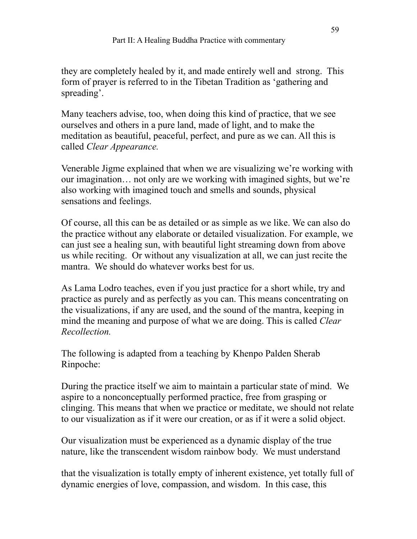they are completely healed by it, and made entirely well and strong. This form of prayer is referred to in the Tibetan Tradition as 'gathering and spreading'.

Many teachers advise, too, when doing this kind of practice, that we see ourselves and others in a pure land, made of light, and to make the meditation as beautiful, peaceful, perfect, and pure as we can. All this is called *Clear Appearance.*

Venerable Jigme explained that when we are visualizing we're working with our imagination… not only are we working with imagined sights, but we're also working with imagined touch and smells and sounds, physical sensations and feelings.

Of course, all this can be as detailed or as simple as we like. We can also do the practice without any elaborate or detailed visualization. For example, we can just see a healing sun, with beautiful light streaming down from above us while reciting. Or without any visualization at all, we can just recite the mantra. We should do whatever works best for us.

As Lama Lodro teaches, even if you just practice for a short while, try and practice as purely and as perfectly as you can. This means concentrating on the visualizations, if any are used, and the sound of the mantra, keeping in mind the meaning and purpose of what we are doing. This is called *Clear Recollection.*

The following is adapted from a teaching by Khenpo Palden Sherab Rinpoche:

During the practice itself we aim to maintain a particular state of mind. We aspire to a nonconceptually performed practice, free from grasping or clinging. This means that when we practice or meditate, we should not relate to our visualization as if it were our creation, or as if it were a solid object.

Our visualization must be experienced as a dynamic display of the true nature, like the transcendent wisdom rainbow body. We must understand

that the visualization is totally empty of inherent existence, yet totally full of dynamic energies of love, compassion, and wisdom. In this case, this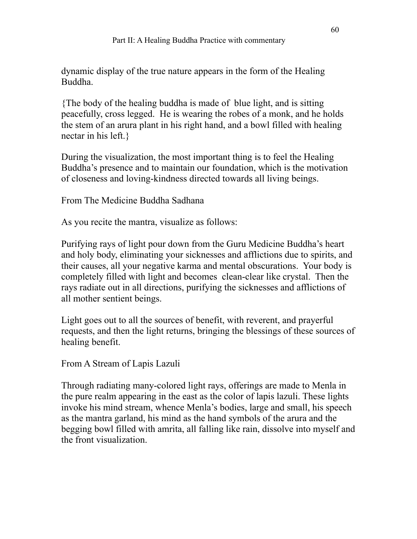dynamic display of the true nature appears in the form of the Healing Buddha.

{The body of the healing buddha is made of blue light, and is sitting peacefully, cross legged. He is wearing the robes of a monk, and he holds the stem of an arura plant in his right hand, and a bowl filled with healing nectar in his left.}

During the visualization, the most important thing is to feel the Healing Buddha's presence and to maintain our foundation, which is the motivation of closeness and loving-kindness directed towards all living beings.

From The Medicine Buddha Sadhana

As you recite the mantra, visualize as follows:

Purifying rays of light pour down from the Guru Medicine Buddha's heart and holy body, eliminating your sicknesses and afflictions due to spirits, and their causes, all your negative karma and mental obscurations. Your body is completely filled with light and becomes clean-clear like crystal. Then the rays radiate out in all directions, purifying the sicknesses and afflictions of all mother sentient beings.

Light goes out to all the sources of benefit, with reverent, and prayerful requests, and then the light returns, bringing the blessings of these sources of healing benefit.

From A Stream of Lapis Lazuli

Through radiating many-colored light rays, offerings are made to Menla in the pure realm appearing in the east as the color of lapis lazuli. These lights invoke his mind stream, whence Menla's bodies, large and small, his speech as the mantra garland, his mind as the hand symbols of the arura and the begging bowl filled with amrita, all falling like rain, dissolve into myself and the front visualization.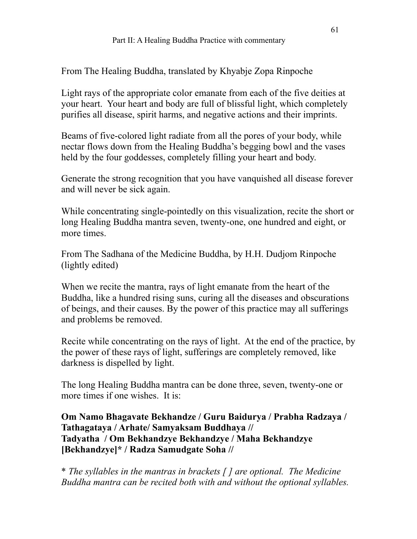From The Healing Buddha, translated by Khyabje Zopa Rinpoche

Light rays of the appropriate color emanate from each of the five deities at your heart. Your heart and body are full of blissful light, which completely purifies all disease, spirit harms, and negative actions and their imprints.

Beams of five-colored light radiate from all the pores of your body, while nectar flows down from the Healing Buddha's begging bowl and the vases held by the four goddesses, completely filling your heart and body.

Generate the strong recognition that you have vanquished all disease forever and will never be sick again.

While concentrating single-pointedly on this visualization, recite the short or long Healing Buddha mantra seven, twenty-one, one hundred and eight, or more times.

From The Sadhana of the Medicine Buddha, by H.H. Dudjom Rinpoche (lightly edited)

When we recite the mantra, rays of light emanate from the heart of the Buddha, like a hundred rising suns, curing all the diseases and obscurations of beings, and their causes. By the power of this practice may all sufferings and problems be removed.

Recite while concentrating on the rays of light. At the end of the practice, by the power of these rays of light, sufferings are completely removed, like darkness is dispelled by light.

The long Healing Buddha mantra can be done three, seven, twenty-one or more times if one wishes. It is:

**Om Namo Bhagavate Bekhandze / Guru Baidurya / Prabha Radzaya / Tathagataya / Arhate/ Samyaksam Buddhaya // Tadyatha / Om Bekhandzye Bekhandzye / Maha Bekhandzye [Bekhandzye]\* / Radza Samudgate Soha //** 

\* *The syllables in the mantras in brackets [ ] are optional. The Medicine Buddha mantra can be recited both with and without the optional syllables.*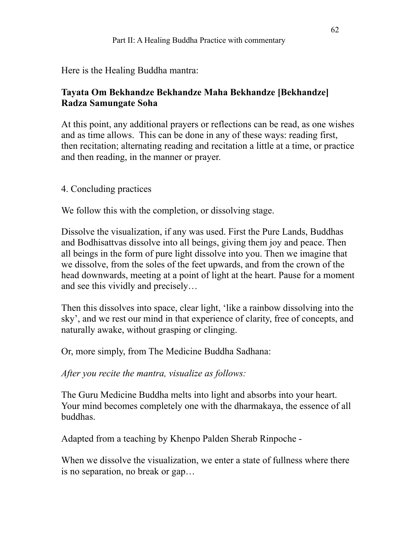Here is the Healing Buddha mantra:

# **Tayata Om Bekhandze Bekhandze Maha Bekhandze [Bekhandze] Radza Samungate Soha**

At this point, any additional prayers or reflections can be read, as one wishes and as time allows. This can be done in any of these ways: reading first, then recitation; alternating reading and recitation a little at a time, or practice and then reading, in the manner or prayer.

4. Concluding practices

We follow this with the completion, or dissolving stage.

Dissolve the visualization, if any was used. First the Pure Lands, Buddhas and Bodhisattvas dissolve into all beings, giving them joy and peace. Then all beings in the form of pure light dissolve into you. Then we imagine that we dissolve, from the soles of the feet upwards, and from the crown of the head downwards, meeting at a point of light at the heart. Pause for a moment and see this vividly and precisely…

Then this dissolves into space, clear light, 'like a rainbow dissolving into the sky', and we rest our mind in that experience of clarity, free of concepts, and naturally awake, without grasping or clinging.

Or, more simply, from The Medicine Buddha Sadhana:

*After you recite the mantra, visualize as follows:* 

The Guru Medicine Buddha melts into light and absorbs into your heart. Your mind becomes completely one with the dharmakaya, the essence of all buddhas.

Adapted from a teaching by Khenpo Palden Sherab Rinpoche -

When we dissolve the visualization, we enter a state of fullness where there is no separation, no break or gap…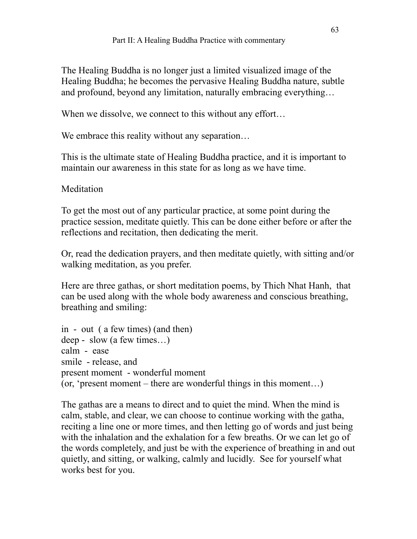The Healing Buddha is no longer just a limited visualized image of the Healing Buddha; he becomes the pervasive Healing Buddha nature, subtle and profound, beyond any limitation, naturally embracing everything…

When we dissolve, we connect to this without any effort...

We embrace this reality without any separation…

This is the ultimate state of Healing Buddha practice, and it is important to maintain our awareness in this state for as long as we have time.

**Meditation** 

To get the most out of any particular practice, at some point during the practice session, meditate quietly. This can be done either before or after the reflections and recitation, then dedicating the merit.

Or, read the dedication prayers, and then meditate quietly, with sitting and/or walking meditation, as you prefer.

Here are three gathas, or short meditation poems, by Thich Nhat Hanh, that can be used along with the whole body awareness and conscious breathing, breathing and smiling:

```
in - out ( a few times) (and then) 
deep - slow (a few times…) 
calm - ease 
smile - release, and 
present moment - wonderful moment 
(or, 'present moment – there are wonderful things in this moment…)
```
The gathas are a means to direct and to quiet the mind. When the mind is calm, stable, and clear, we can choose to continue working with the gatha, reciting a line one or more times, and then letting go of words and just being with the inhalation and the exhalation for a few breaths. Or we can let go of the words completely, and just be with the experience of breathing in and out quietly, and sitting, or walking, calmly and lucidly. See for yourself what works best for you.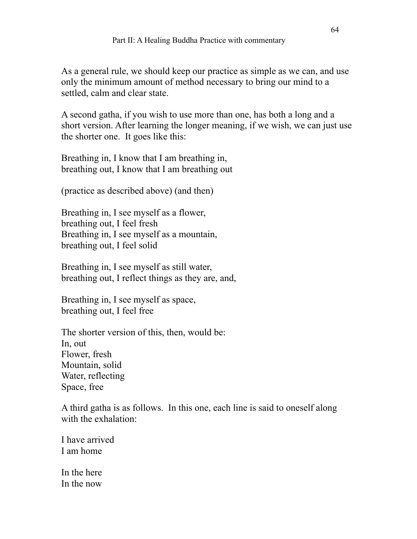As a general rule, we should keep our practice as simple as we can, and use only the minimum amount of method necessary to bring our mind to a settled, calm and clear state.

A second gatha, if you wish to use more than one, has both a long and a short version. After learning the longer meaning, if we wish, we can just use the shorter one. It goes like this:

Breathing in, I know that I am breathing in, breathing out, I know that I am breathing out

(practice as described above) (and then)

Breathing in, I see myself as a flower, breathing out, I feel fresh Breathing in, I see myself as a mountain, breathing out, I feel solid

Breathing in, I see myself as still water, breathing out, I reflect things as they are, and,

Breathing in, I see myself as space, breathing out, I feel free

The shorter version of this, then, would be: In, out Flower, fresh Mountain, solid Water, reflecting Space, free

A third gatha is as follows. In this one, each line is said to oneself along with the exhalation:

I have arrived I am home

In the here In the now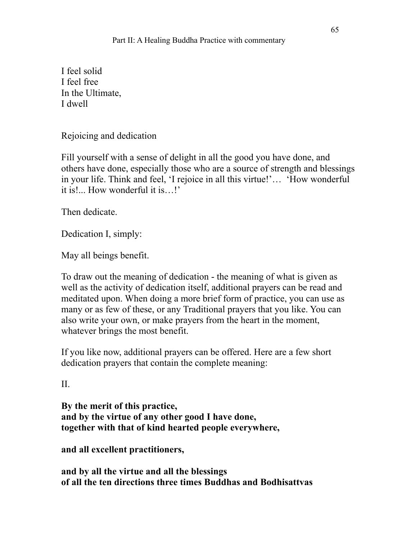I feel solid I feel free In the Ultimate, I dwell

Rejoicing and dedication

Fill yourself with a sense of delight in all the good you have done, and others have done, especially those who are a source of strength and blessings in your life. Think and feel, 'I rejoice in all this virtue!'… 'How wonderful it is!... How wonderful it is…!'

Then dedicate.

Dedication I, simply:

May all beings benefit.

To draw out the meaning of dedication - the meaning of what is given as well as the activity of dedication itself, additional prayers can be read and meditated upon. When doing a more brief form of practice, you can use as many or as few of these, or any Traditional prayers that you like. You can also write your own, or make prayers from the heart in the moment, whatever brings the most benefit.

If you like now, additional prayers can be offered. Here are a few short dedication prayers that contain the complete meaning:

II.

**By the merit of this practice, and by the virtue of any other good I have done, together with that of kind hearted people everywhere,** 

**and all excellent practitioners,** 

**and by all the virtue and all the blessings of all the ten directions three times Buddhas and Bodhisattvas**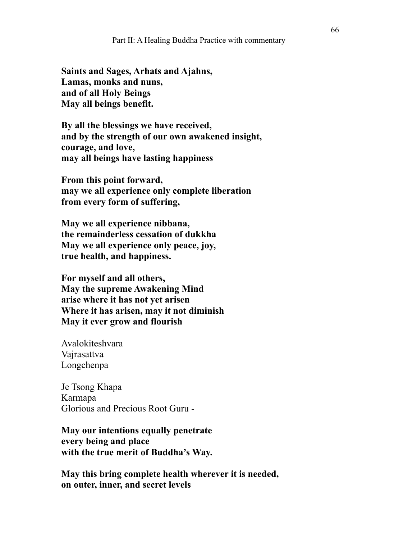**Saints and Sages, Arhats and Ajahns, Lamas, monks and nuns, and of all Holy Beings May all beings benefit.** 

**By all the blessings we have received, and by the strength of our own awakened insight, courage, and love, may all beings have lasting happiness**

**From this point forward, may we all experience only complete liberation from every form of suffering,** 

**May we all experience nibbana, the remainderless cessation of dukkha May we all experience only peace, joy, true health, and happiness.**

**For myself and all others, May the supreme Awakening Mind arise where it has not yet arisen Where it has arisen, may it not diminish May it ever grow and flourish** 

Avalokiteshvara Vajrasattva Longchenpa

Je Tsong Khapa Karmapa Glorious and Precious Root Guru -

**May our intentions equally penetrate every being and place with the true merit of Buddha's Way.** 

**May this bring complete health wherever it is needed, on outer, inner, and secret levels**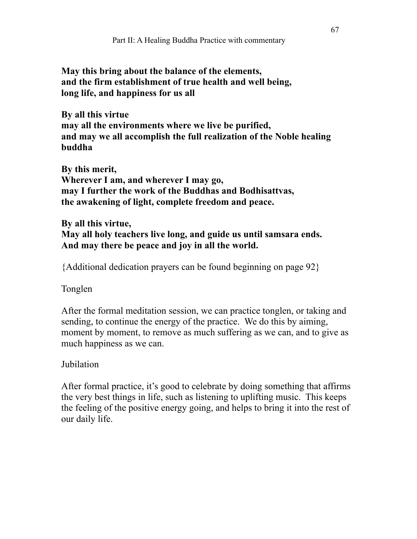**May this bring about the balance of the elements, and the firm establishment of true health and well being, long life, and happiness for us all** 

**By all this virtue may all the environments where we live be purified, and may we all accomplish the full realization of the Noble healing buddha** 

**By this merit, Wherever I am, and wherever I may go, may I further the work of the Buddhas and Bodhisattvas, the awakening of light, complete freedom and peace.** 

**By all this virtue, May all holy teachers live long, and guide us until samsara ends. And may there be peace and joy in all the world.** 

{Additional dedication prayers can be found beginning on page 92}

Tonglen

After the formal meditation session, we can practice tonglen, or taking and sending, to continue the energy of the practice. We do this by aiming, moment by moment, to remove as much suffering as we can, and to give as much happiness as we can.

# Jubilation

After formal practice, it's good to celebrate by doing something that affirms the very best things in life, such as listening to uplifting music. This keeps the feeling of the positive energy going, and helps to bring it into the rest of our daily life.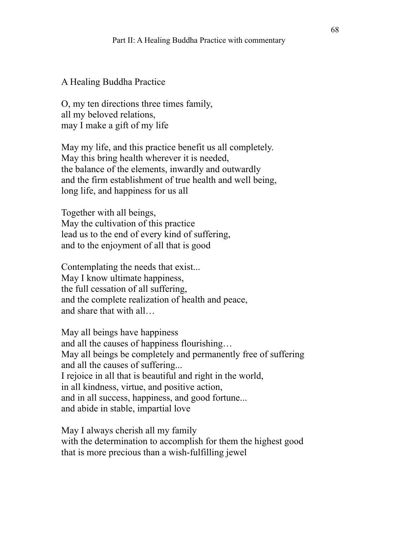#### A Healing Buddha Practice

O, my ten directions three times family, all my beloved relations, may I make a gift of my life

May my life, and this practice benefit us all completely. May this bring health wherever it is needed, the balance of the elements, inwardly and outwardly and the firm establishment of true health and well being, long life, and happiness for us all

Together with all beings, May the cultivation of this practice lead us to the end of every kind of suffering, and to the enjoyment of all that is good

Contemplating the needs that exist... May I know ultimate happiness, the full cessation of all suffering, and the complete realization of health and peace, and share that with all…

May all beings have happiness and all the causes of happiness flourishing… May all beings be completely and permanently free of suffering and all the causes of suffering... I rejoice in all that is beautiful and right in the world, in all kindness, virtue, and positive action, and in all success, happiness, and good fortune... and abide in stable, impartial love

May I always cherish all my family with the determination to accomplish for them the highest good that is more precious than a wish-fulfilling jewel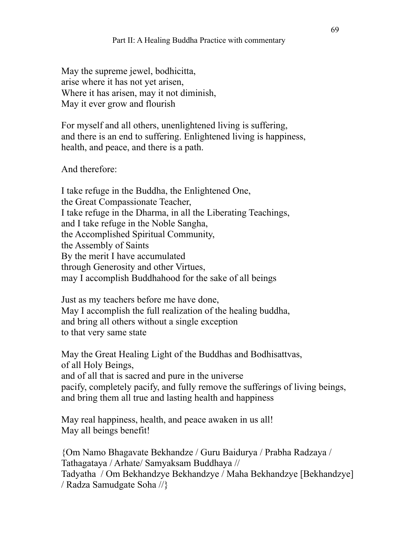May the supreme jewel, bodhicitta, arise where it has not yet arisen, Where it has arisen, may it not diminish, May it ever grow and flourish

For myself and all others, unenlightened living is suffering, and there is an end to suffering. Enlightened living is happiness, health, and peace, and there is a path.

And therefore:

I take refuge in the Buddha, the Enlightened One, the Great Compassionate Teacher, I take refuge in the Dharma, in all the Liberating Teachings, and I take refuge in the Noble Sangha, the Accomplished Spiritual Community, the Assembly of Saints By the merit I have accumulated through Generosity and other Virtues, may I accomplish Buddhahood for the sake of all beings

Just as my teachers before me have done, May I accomplish the full realization of the healing buddha, and bring all others without a single exception to that very same state

May the Great Healing Light of the Buddhas and Bodhisattvas, of all Holy Beings, and of all that is sacred and pure in the universe pacify, completely pacify, and fully remove the sufferings of living beings, and bring them all true and lasting health and happiness

May real happiness, health, and peace awaken in us all! May all beings benefit!

{Om Namo Bhagavate Bekhandze / Guru Baidurya / Prabha Radzaya / Tathagataya / Arhate/ Samyaksam Buddhaya // Tadyatha / Om Bekhandzye Bekhandzye / Maha Bekhandzye [Bekhandzye] / Radza Samudgate Soha //}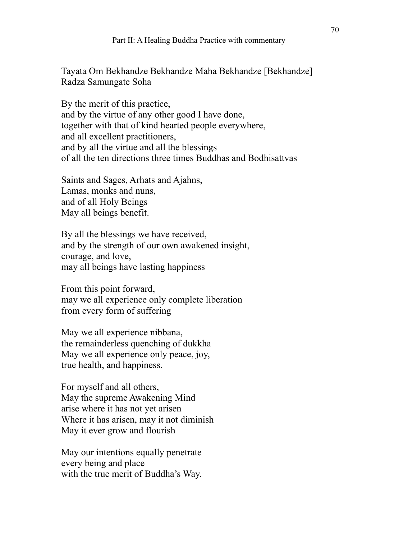Tayata Om Bekhandze Bekhandze Maha Bekhandze [Bekhandze] Radza Samungate Soha

By the merit of this practice, and by the virtue of any other good I have done, together with that of kind hearted people everywhere, and all excellent practitioners, and by all the virtue and all the blessings of all the ten directions three times Buddhas and Bodhisattvas

Saints and Sages, Arhats and Ajahns, Lamas, monks and nuns, and of all Holy Beings May all beings benefit.

By all the blessings we have received, and by the strength of our own awakened insight, courage, and love, may all beings have lasting happiness

From this point forward, may we all experience only complete liberation from every form of suffering

May we all experience nibbana, the remainderless quenching of dukkha May we all experience only peace, joy, true health, and happiness.

For myself and all others, May the supreme Awakening Mind arise where it has not yet arisen Where it has arisen, may it not diminish May it ever grow and flourish

May our intentions equally penetrate every being and place with the true merit of Buddha's Way.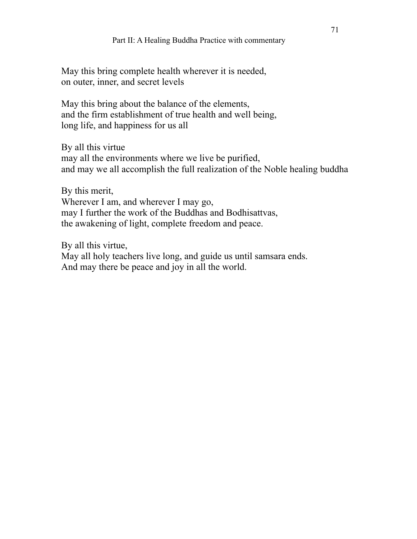## Part II: A Healing Buddha Practice with commentary

May this bring complete health wherever it is needed, on outer, inner, and secret levels

May this bring about the balance of the elements, and the firm establishment of true health and well being, long life, and happiness for us all

By all this virtue may all the environments where we live be purified, and may we all accomplish the full realization of the Noble healing buddha

By this merit, Wherever I am, and wherever I may go, may I further the work of the Buddhas and Bodhisattvas, the awakening of light, complete freedom and peace.

By all this virtue, May all holy teachers live long, and guide us until samsara ends. And may there be peace and joy in all the world.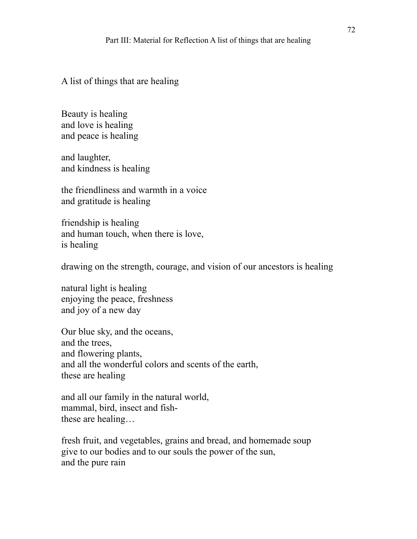A list of things that are healing

Beauty is healing and love is healing and peace is healing

and laughter, and kindness is healing

the friendliness and warmth in a voice and gratitude is healing

friendship is healing and human touch, when there is love, is healing

drawing on the strength, courage, and vision of our ancestors is healing

natural light is healing enjoying the peace, freshness and joy of a new day

Our blue sky, and the oceans, and the trees, and flowering plants, and all the wonderful colors and scents of the earth, these are healing

and all our family in the natural world, mammal, bird, insect and fishthese are healing…

fresh fruit, and vegetables, grains and bread, and homemade soup give to our bodies and to our souls the power of the sun, and the pure rain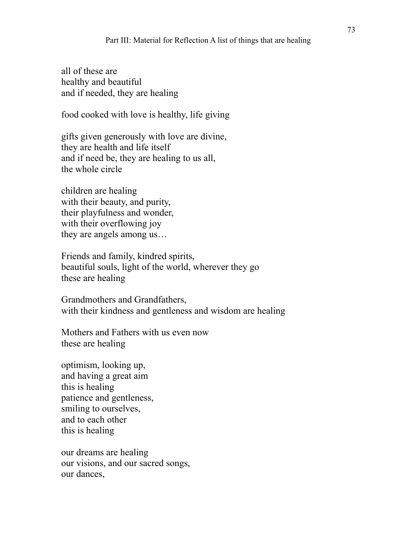all of these are healthy and beautiful and if needed, they are healing

food cooked with love is healthy, life giving

gifts given generously with love are divine, they are health and life itself and if need be, they are healing to us all, the whole circle

children are healing with their beauty, and purity, their playfulness and wonder, with their overflowing joy they are angels among us…

Friends and family, kindred spirits, beautiful souls, light of the world, wherever they go these are healing

Grandmothers and Grandfathers, with their kindness and gentleness and wisdom are healing

Mothers and Fathers with us even now these are healing

optimism, looking up, and having a great aim this is healing patience and gentleness, smiling to ourselves, and to each other this is healing

our dreams are healing our visions, and our sacred songs, our dances,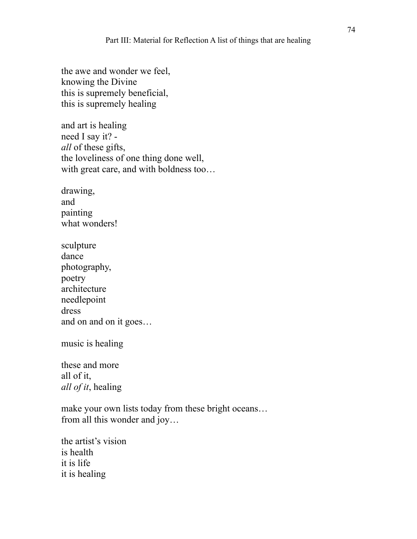the awe and wonder we feel, knowing the Divine this is supremely beneficial, this is supremely healing

and art is healing need I say it? *all* of these gifts, the loveliness of one thing done well, with great care, and with boldness too...

drawing, and painting what wonders!

sculpture dance photography, poetry architecture needlepoint dress and on and on it goes…

music is healing

these and more all of it, *all of it*, healing

make your own lists today from these bright oceans… from all this wonder and joy…

the artist's vision is health it is life it is healing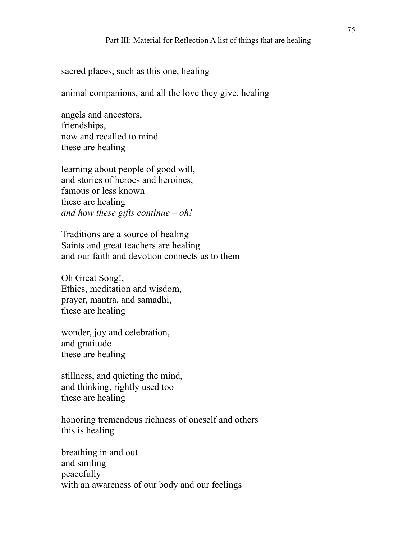sacred places, such as this one, healing

animal companions, and all the love they give, healing

angels and ancestors, friendships, now and recalled to mind these are healing

learning about people of good will, and stories of heroes and heroines, famous or less known these are healing *and how these gifts continue – oh!* 

Traditions are a source of healing Saints and great teachers are healing and our faith and devotion connects us to them

Oh Great Song!, Ethics, meditation and wisdom, prayer, mantra, and samadhi, these are healing

wonder, joy and celebration, and gratitude these are healing

stillness, and quieting the mind, and thinking, rightly used too these are healing

honoring tremendous richness of oneself and others this is healing

breathing in and out and smiling peacefully with an awareness of our body and our feelings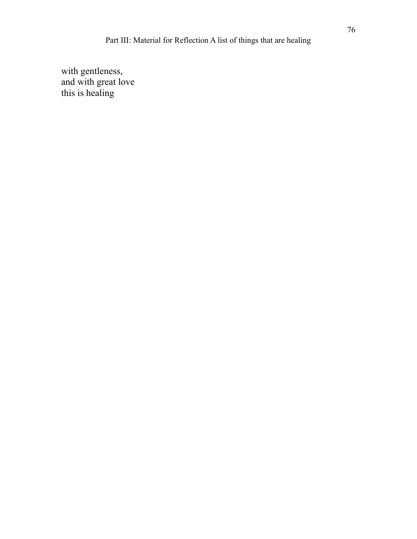with gentleness, and with great love this is healing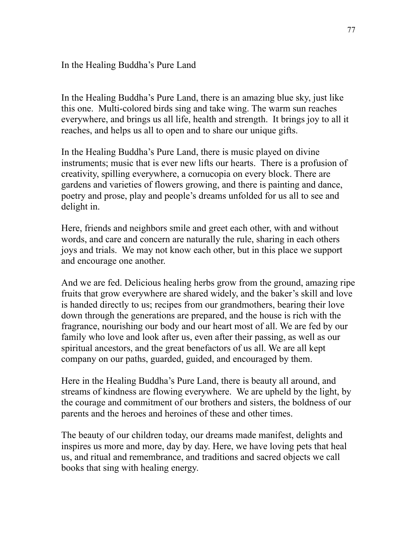In the Healing Buddha's Pure Land

In the Healing Buddha's Pure Land, there is an amazing blue sky, just like this one. Multi-colored birds sing and take wing. The warm sun reaches everywhere, and brings us all life, health and strength. It brings joy to all it reaches, and helps us all to open and to share our unique gifts.

In the Healing Buddha's Pure Land, there is music played on divine instruments; music that is ever new lifts our hearts. There is a profusion of creativity, spilling everywhere, a cornucopia on every block. There are gardens and varieties of flowers growing, and there is painting and dance, poetry and prose, play and people's dreams unfolded for us all to see and delight in.

Here, friends and neighbors smile and greet each other, with and without words, and care and concern are naturally the rule, sharing in each others joys and trials. We may not know each other, but in this place we support and encourage one another.

And we are fed. Delicious healing herbs grow from the ground, amazing ripe fruits that grow everywhere are shared widely, and the baker's skill and love is handed directly to us; recipes from our grandmothers, bearing their love down through the generations are prepared, and the house is rich with the fragrance, nourishing our body and our heart most of all. We are fed by our family who love and look after us, even after their passing, as well as our spiritual ancestors, and the great benefactors of us all. We are all kept company on our paths, guarded, guided, and encouraged by them.

Here in the Healing Buddha's Pure Land, there is beauty all around, and streams of kindness are flowing everywhere. We are upheld by the light, by the courage and commitment of our brothers and sisters, the boldness of our parents and the heroes and heroines of these and other times.

The beauty of our children today, our dreams made manifest, delights and inspires us more and more, day by day. Here, we have loving pets that heal us, and ritual and remembrance, and traditions and sacred objects we call books that sing with healing energy.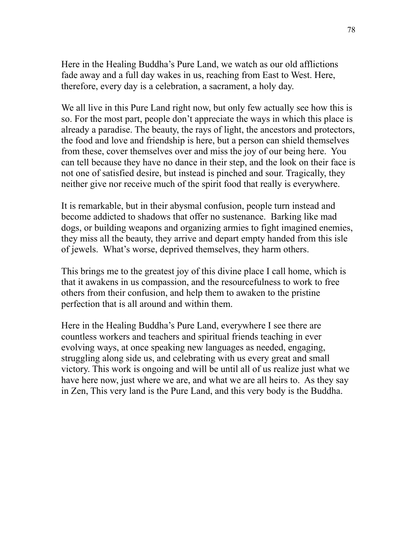Here in the Healing Buddha's Pure Land, we watch as our old afflictions fade away and a full day wakes in us, reaching from East to West. Here, therefore, every day is a celebration, a sacrament, a holy day.

We all live in this Pure Land right now, but only few actually see how this is so. For the most part, people don't appreciate the ways in which this place is already a paradise. The beauty, the rays of light, the ancestors and protectors, the food and love and friendship is here, but a person can shield themselves from these, cover themselves over and miss the joy of our being here. You can tell because they have no dance in their step, and the look on their face is not one of satisfied desire, but instead is pinched and sour. Tragically, they neither give nor receive much of the spirit food that really is everywhere.

It is remarkable, but in their abysmal confusion, people turn instead and become addicted to shadows that offer no sustenance. Barking like mad dogs, or building weapons and organizing armies to fight imagined enemies, they miss all the beauty, they arrive and depart empty handed from this isle of jewels. What's worse, deprived themselves, they harm others.

This brings me to the greatest joy of this divine place I call home, which is that it awakens in us compassion, and the resourcefulness to work to free others from their confusion, and help them to awaken to the pristine perfection that is all around and within them.

Here in the Healing Buddha's Pure Land, everywhere I see there are countless workers and teachers and spiritual friends teaching in ever evolving ways, at once speaking new languages as needed, engaging, struggling along side us, and celebrating with us every great and small victory. This work is ongoing and will be until all of us realize just what we have here now, just where we are, and what we are all heirs to. As they say in Zen, This very land is the Pure Land, and this very body is the Buddha.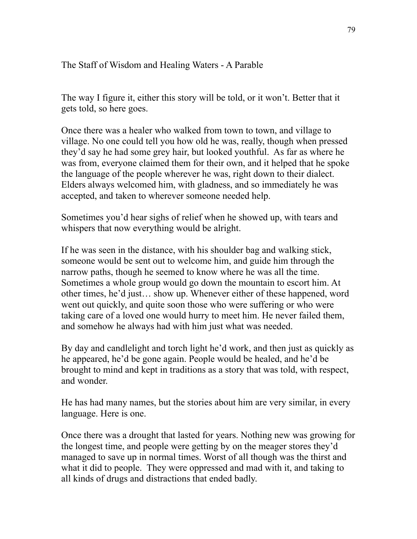## The Staff of Wisdom and Healing Waters - A Parable

The way I figure it, either this story will be told, or it won't. Better that it gets told, so here goes.

Once there was a healer who walked from town to town, and village to village. No one could tell you how old he was, really, though when pressed they'd say he had some grey hair, but looked youthful. As far as where he was from, everyone claimed them for their own, and it helped that he spoke the language of the people wherever he was, right down to their dialect. Elders always welcomed him, with gladness, and so immediately he was accepted, and taken to wherever someone needed help.

Sometimes you'd hear sighs of relief when he showed up, with tears and whispers that now everything would be alright.

If he was seen in the distance, with his shoulder bag and walking stick, someone would be sent out to welcome him, and guide him through the narrow paths, though he seemed to know where he was all the time. Sometimes a whole group would go down the mountain to escort him. At other times, he'd just… show up. Whenever either of these happened, word went out quickly, and quite soon those who were suffering or who were taking care of a loved one would hurry to meet him. He never failed them, and somehow he always had with him just what was needed.

By day and candlelight and torch light he'd work, and then just as quickly as he appeared, he'd be gone again. People would be healed, and he'd be brought to mind and kept in traditions as a story that was told, with respect, and wonder.

He has had many names, but the stories about him are very similar, in every language. Here is one.

Once there was a drought that lasted for years. Nothing new was growing for the longest time, and people were getting by on the meager stores they'd managed to save up in normal times. Worst of all though was the thirst and what it did to people. They were oppressed and mad with it, and taking to all kinds of drugs and distractions that ended badly.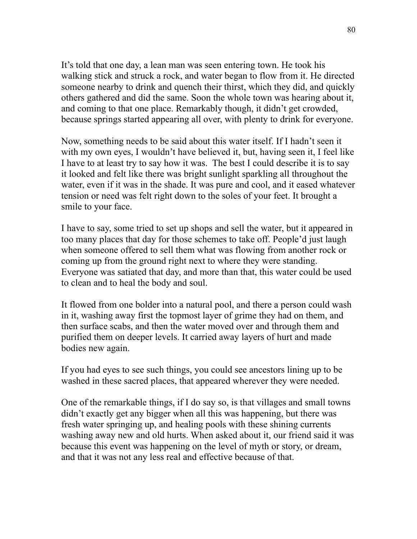It's told that one day, a lean man was seen entering town. He took his walking stick and struck a rock, and water began to flow from it. He directed someone nearby to drink and quench their thirst, which they did, and quickly others gathered and did the same. Soon the whole town was hearing about it, and coming to that one place. Remarkably though, it didn't get crowded, because springs started appearing all over, with plenty to drink for everyone.

Now, something needs to be said about this water itself. If I hadn't seen it with my own eyes, I wouldn't have believed it, but, having seen it, I feel like I have to at least try to say how it was. The best I could describe it is to say it looked and felt like there was bright sunlight sparkling all throughout the water, even if it was in the shade. It was pure and cool, and it eased whatever tension or need was felt right down to the soles of your feet. It brought a smile to your face.

I have to say, some tried to set up shops and sell the water, but it appeared in too many places that day for those schemes to take off. People'd just laugh when someone offered to sell them what was flowing from another rock or coming up from the ground right next to where they were standing. Everyone was satiated that day, and more than that, this water could be used to clean and to heal the body and soul.

It flowed from one bolder into a natural pool, and there a person could wash in it, washing away first the topmost layer of grime they had on them, and then surface scabs, and then the water moved over and through them and purified them on deeper levels. It carried away layers of hurt and made bodies new again.

If you had eyes to see such things, you could see ancestors lining up to be washed in these sacred places, that appeared wherever they were needed.

One of the remarkable things, if I do say so, is that villages and small towns didn't exactly get any bigger when all this was happening, but there was fresh water springing up, and healing pools with these shining currents washing away new and old hurts. When asked about it, our friend said it was because this event was happening on the level of myth or story, or dream, and that it was not any less real and effective because of that.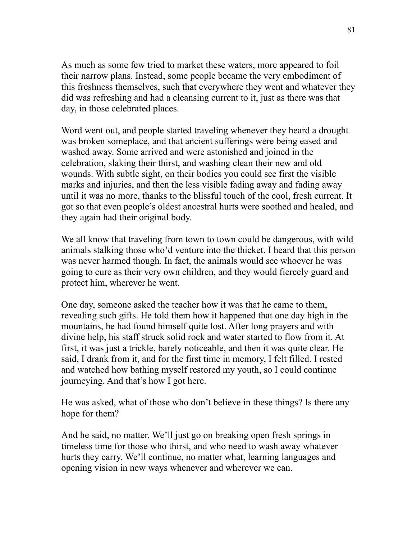As much as some few tried to market these waters, more appeared to foil their narrow plans. Instead, some people became the very embodiment of this freshness themselves, such that everywhere they went and whatever they did was refreshing and had a cleansing current to it, just as there was that day, in those celebrated places.

Word went out, and people started traveling whenever they heard a drought was broken someplace, and that ancient sufferings were being eased and washed away. Some arrived and were astonished and joined in the celebration, slaking their thirst, and washing clean their new and old wounds. With subtle sight, on their bodies you could see first the visible marks and injuries, and then the less visible fading away and fading away until it was no more, thanks to the blissful touch of the cool, fresh current. It got so that even people's oldest ancestral hurts were soothed and healed, and they again had their original body.

We all know that traveling from town to town could be dangerous, with wild animals stalking those who'd venture into the thicket. I heard that this person was never harmed though. In fact, the animals would see whoever he was going to cure as their very own children, and they would fiercely guard and protect him, wherever he went.

One day, someone asked the teacher how it was that he came to them, revealing such gifts. He told them how it happened that one day high in the mountains, he had found himself quite lost. After long prayers and with divine help, his staff struck solid rock and water started to flow from it. At first, it was just a trickle, barely noticeable, and then it was quite clear. He said, I drank from it, and for the first time in memory, I felt filled. I rested and watched how bathing myself restored my youth, so I could continue journeying. And that's how I got here.

He was asked, what of those who don't believe in these things? Is there any hope for them?

And he said, no matter. We'll just go on breaking open fresh springs in timeless time for those who thirst, and who need to wash away whatever hurts they carry. We'll continue, no matter what, learning languages and opening vision in new ways whenever and wherever we can.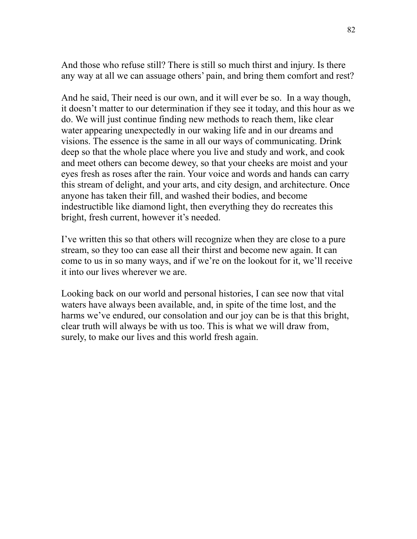And those who refuse still? There is still so much thirst and injury. Is there any way at all we can assuage others' pain, and bring them comfort and rest?

And he said, Their need is our own, and it will ever be so. In a way though, it doesn't matter to our determination if they see it today, and this hour as we do. We will just continue finding new methods to reach them, like clear water appearing unexpectedly in our waking life and in our dreams and visions. The essence is the same in all our ways of communicating. Drink deep so that the whole place where you live and study and work, and cook and meet others can become dewey, so that your cheeks are moist and your eyes fresh as roses after the rain. Your voice and words and hands can carry this stream of delight, and your arts, and city design, and architecture. Once anyone has taken their fill, and washed their bodies, and become indestructible like diamond light, then everything they do recreates this bright, fresh current, however it's needed.

I've written this so that others will recognize when they are close to a pure stream, so they too can ease all their thirst and become new again. It can come to us in so many ways, and if we're on the lookout for it, we'll receive it into our lives wherever we are.

Looking back on our world and personal histories, I can see now that vital waters have always been available, and, in spite of the time lost, and the harms we've endured, our consolation and our joy can be is that this bright, clear truth will always be with us too. This is what we will draw from, surely, to make our lives and this world fresh again.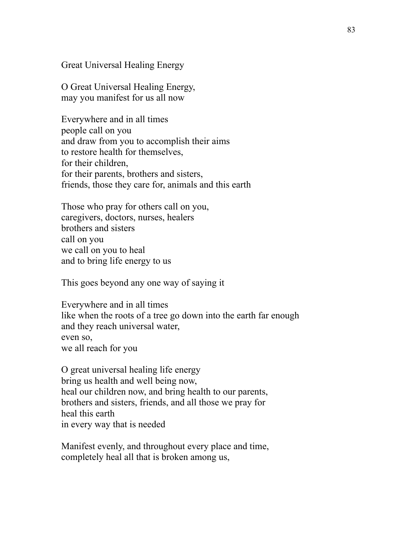Great Universal Healing Energy

O Great Universal Healing Energy, may you manifest for us all now

Everywhere and in all times people call on you and draw from you to accomplish their aims to restore health for themselves, for their children, for their parents, brothers and sisters, friends, those they care for, animals and this earth

Those who pray for others call on you, caregivers, doctors, nurses, healers brothers and sisters call on you we call on you to heal and to bring life energy to us

This goes beyond any one way of saying it

Everywhere and in all times like when the roots of a tree go down into the earth far enough and they reach universal water, even so, we all reach for you

O great universal healing life energy bring us health and well being now, heal our children now, and bring health to our parents, brothers and sisters, friends, and all those we pray for heal this earth in every way that is needed

Manifest evenly, and throughout every place and time, completely heal all that is broken among us,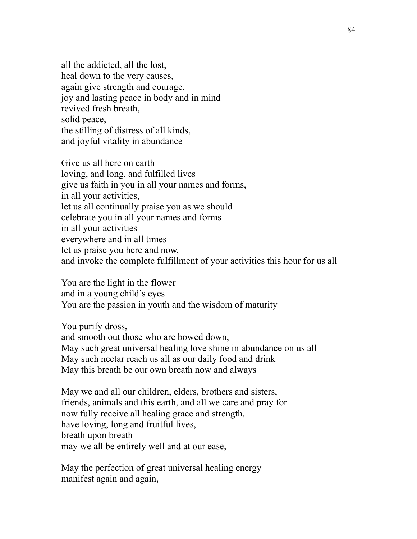all the addicted, all the lost, heal down to the very causes, again give strength and courage, joy and lasting peace in body and in mind revived fresh breath, solid peace, the stilling of distress of all kinds, and joyful vitality in abundance

Give us all here on earth loving, and long, and fulfilled lives give us faith in you in all your names and forms, in all your activities, let us all continually praise you as we should celebrate you in all your names and forms in all your activities everywhere and in all times let us praise you here and now, and invoke the complete fulfillment of your activities this hour for us all

You are the light in the flower and in a young child's eyes You are the passion in youth and the wisdom of maturity

You purify dross, and smooth out those who are bowed down, May such great universal healing love shine in abundance on us all May such nectar reach us all as our daily food and drink May this breath be our own breath now and always

May we and all our children, elders, brothers and sisters, friends, animals and this earth, and all we care and pray for now fully receive all healing grace and strength, have loving, long and fruitful lives, breath upon breath may we all be entirely well and at our ease,

May the perfection of great universal healing energy manifest again and again,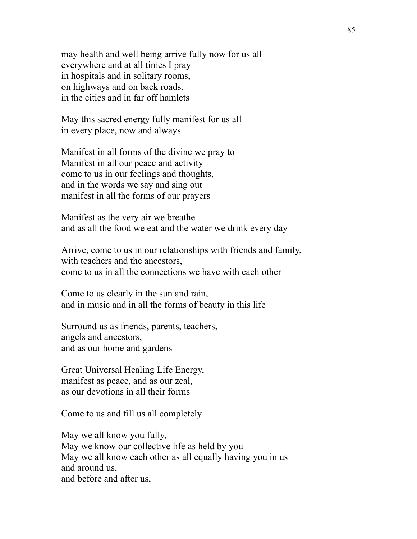may health and well being arrive fully now for us all everywhere and at all times I pray in hospitals and in solitary rooms, on highways and on back roads, in the cities and in far off hamlets

May this sacred energy fully manifest for us all in every place, now and always

Manifest in all forms of the divine we pray to Manifest in all our peace and activity come to us in our feelings and thoughts, and in the words we say and sing out manifest in all the forms of our prayers

Manifest as the very air we breathe and as all the food we eat and the water we drink every day

Arrive, come to us in our relationships with friends and family, with teachers and the ancestors, come to us in all the connections we have with each other

Come to us clearly in the sun and rain, and in music and in all the forms of beauty in this life

Surround us as friends, parents, teachers, angels and ancestors, and as our home and gardens

Great Universal Healing Life Energy, manifest as peace, and as our zeal, as our devotions in all their forms

Come to us and fill us all completely

May we all know you fully, May we know our collective life as held by you May we all know each other as all equally having you in us and around us, and before and after us,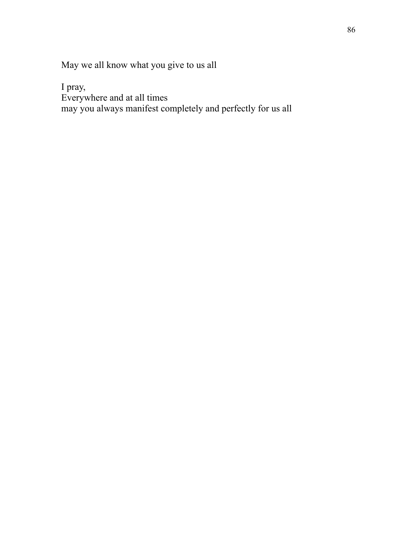May we all know what you give to us all

I pray,

Everywhere and at all times

may you always manifest completely and perfectly for us all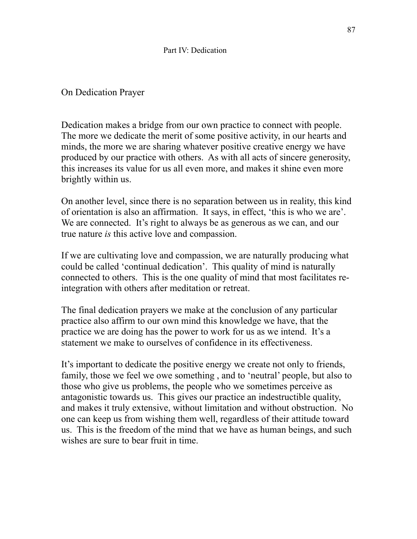## Part IV: Dedication

## On Dedication Prayer

Dedication makes a bridge from our own practice to connect with people. The more we dedicate the merit of some positive activity, in our hearts and minds, the more we are sharing whatever positive creative energy we have produced by our practice with others. As with all acts of sincere generosity, this increases its value for us all even more, and makes it shine even more brightly within us.

On another level, since there is no separation between us in reality, this kind of orientation is also an affirmation. It says, in effect, 'this is who we are'. We are connected. It's right to always be as generous as we can, and our true nature *is* this active love and compassion.

If we are cultivating love and compassion, we are naturally producing what could be called 'continual dedication'. This quality of mind is naturally connected to others. This is the one quality of mind that most facilitates reintegration with others after meditation or retreat.

The final dedication prayers we make at the conclusion of any particular practice also affirm to our own mind this knowledge we have, that the practice we are doing has the power to work for us as we intend. It's a statement we make to ourselves of confidence in its effectiveness.

It's important to dedicate the positive energy we create not only to friends, family, those we feel we owe something , and to 'neutral' people, but also to those who give us problems, the people who we sometimes perceive as antagonistic towards us. This gives our practice an indestructible quality, and makes it truly extensive, without limitation and without obstruction. No one can keep us from wishing them well, regardless of their attitude toward us. This is the freedom of the mind that we have as human beings, and such wishes are sure to bear fruit in time.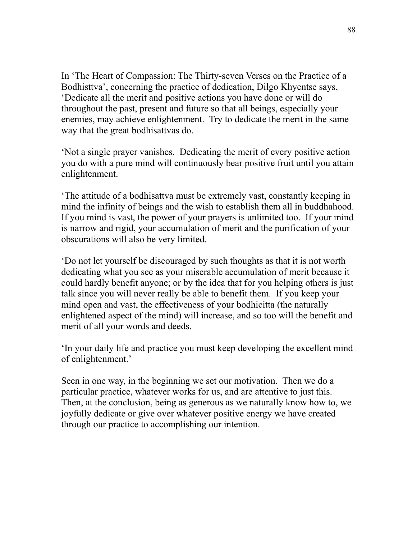In 'The Heart of Compassion: The Thirty-seven Verses on the Practice of a Bodhisttva', concerning the practice of dedication, Dilgo Khyentse says, 'Dedicate all the merit and positive actions you have done or will do throughout the past, present and future so that all beings, especially your enemies, may achieve enlightenment. Try to dedicate the merit in the same way that the great bodhisattvas do.

'Not a single prayer vanishes. Dedicating the merit of every positive action you do with a pure mind will continuously bear positive fruit until you attain enlightenment.

'The attitude of a bodhisattva must be extremely vast, constantly keeping in mind the infinity of beings and the wish to establish them all in buddhahood. If you mind is vast, the power of your prayers is unlimited too. If your mind is narrow and rigid, your accumulation of merit and the purification of your obscurations will also be very limited.

'Do not let yourself be discouraged by such thoughts as that it is not worth dedicating what you see as your miserable accumulation of merit because it could hardly benefit anyone; or by the idea that for you helping others is just talk since you will never really be able to benefit them. If you keep your mind open and vast, the effectiveness of your bodhicitta (the naturally enlightened aspect of the mind) will increase, and so too will the benefit and merit of all your words and deeds.

'In your daily life and practice you must keep developing the excellent mind of enlightenment.'

Seen in one way, in the beginning we set our motivation. Then we do a particular practice, whatever works for us, and are attentive to just this. Then, at the conclusion, being as generous as we naturally know how to, we joyfully dedicate or give over whatever positive energy we have created through our practice to accomplishing our intention.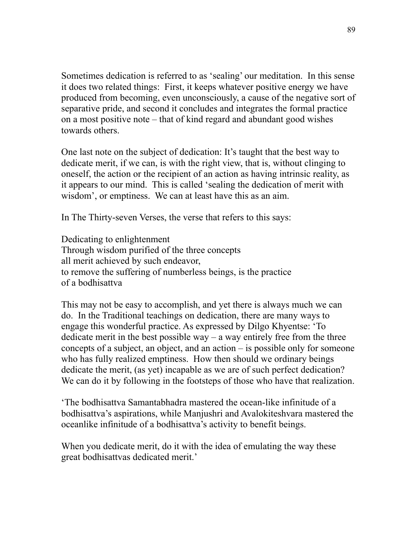Sometimes dedication is referred to as 'sealing' our meditation. In this sense it does two related things: First, it keeps whatever positive energy we have produced from becoming, even unconsciously, a cause of the negative sort of separative pride, and second it concludes and integrates the formal practice on a most positive note – that of kind regard and abundant good wishes towards others.

One last note on the subject of dedication: It's taught that the best way to dedicate merit, if we can, is with the right view, that is, without clinging to oneself, the action or the recipient of an action as having intrinsic reality, as it appears to our mind. This is called 'sealing the dedication of merit with wisdom', or emptiness. We can at least have this as an aim.

In The Thirty-seven Verses, the verse that refers to this says:

Dedicating to enlightenment Through wisdom purified of the three concepts all merit achieved by such endeavor, to remove the suffering of numberless beings, is the practice of a bodhisattva

This may not be easy to accomplish, and yet there is always much we can do. In the Traditional teachings on dedication, there are many ways to engage this wonderful practice. As expressed by Dilgo Khyentse: 'To dedicate merit in the best possible way – a way entirely free from the three concepts of a subject, an object, and an action – is possible only for someone who has fully realized emptiness. How then should we ordinary beings dedicate the merit, (as yet) incapable as we are of such perfect dedication? We can do it by following in the footsteps of those who have that realization.

'The bodhisattva Samantabhadra mastered the ocean-like infinitude of a bodhisattva's aspirations, while Manjushri and Avalokiteshvara mastered the oceanlike infinitude of a bodhisattva's activity to benefit beings.

When you dedicate merit, do it with the idea of emulating the way these great bodhisattvas dedicated merit.'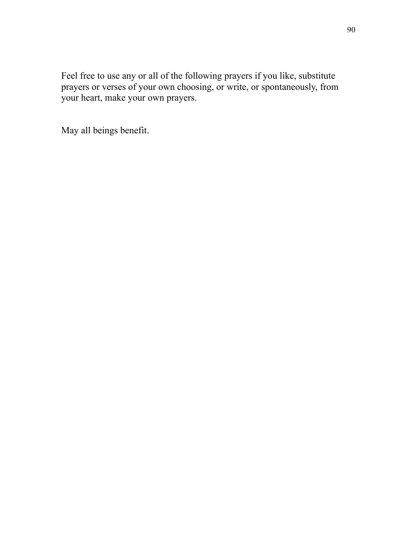Feel free to use any or all of the following prayers if you like, substitute prayers or verses of your own choosing, or write, or spontaneously, from your heart, make your own prayers.

May all beings benefit.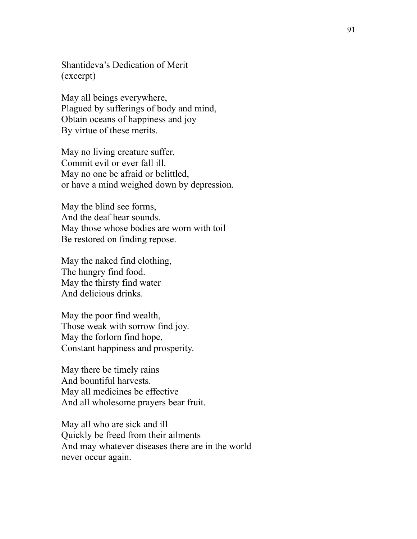Shantideva's Dedication of Merit (excerpt)

May all beings everywhere, Plagued by sufferings of body and mind, Obtain oceans of happiness and joy By virtue of these merits.

May no living creature suffer, Commit evil or ever fall ill. May no one be afraid or belittled, or have a mind weighed down by depression.

May the blind see forms, And the deaf hear sounds. May those whose bodies are worn with toil Be restored on finding repose.

May the naked find clothing, The hungry find food. May the thirsty find water And delicious drinks.

May the poor find wealth, Those weak with sorrow find joy. May the forlorn find hope, Constant happiness and prosperity.

May there be timely rains And bountiful harvests. May all medicines be effective And all wholesome prayers bear fruit.

May all who are sick and ill Quickly be freed from their ailments And may whatever diseases there are in the world never occur again.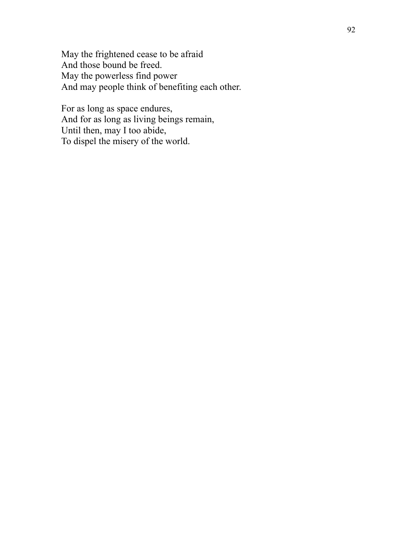May the frightened cease to be afraid And those bound be freed. May the powerless find power And may people think of benefiting each other.

For as long as space endures, And for as long as living beings remain, Until then, may I too abide, To dispel the misery of the world.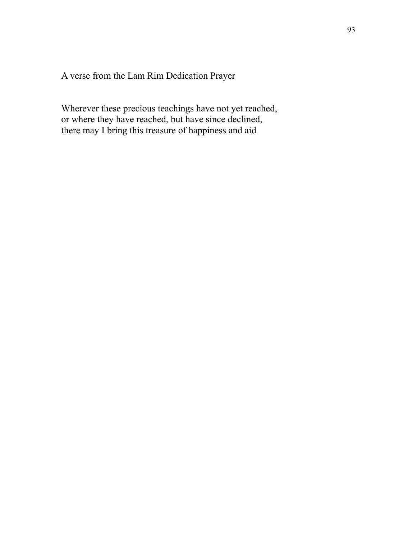A verse from the Lam Rim Dedication Prayer

Wherever these precious teachings have not yet reached, or where they have reached, but have since declined, there may I bring this treasure of happiness and aid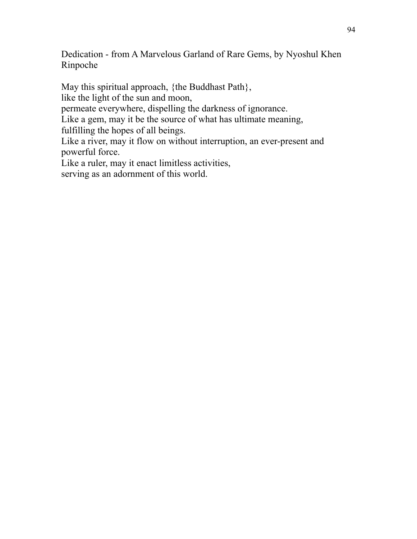Dedication - from A Marvelous Garland of Rare Gems, by Nyoshul Khen Rinpoche

May this spiritual approach, {the Buddhast Path}, like the light of the sun and moon, permeate everywhere, dispelling the darkness of ignorance. Like a gem, may it be the source of what has ultimate meaning, fulfilling the hopes of all beings. Like a river, may it flow on without interruption, an ever-present and powerful force. Like a ruler, may it enact limitless activities, serving as an adornment of this world.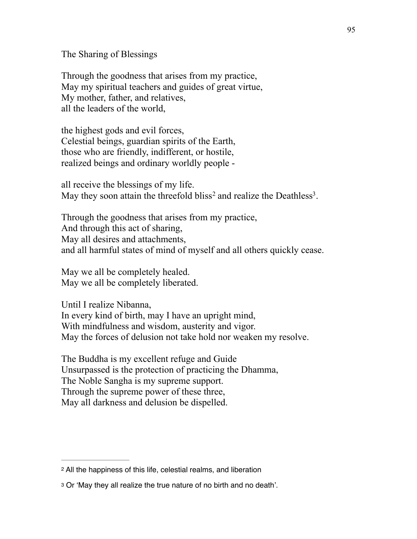The Sharing of Blessings

Through the goodness that arises from my practice, May my spiritual teachers and guides of great virtue, My mother, father, and relatives, all the leaders of the world,

the highest gods and evil forces, Celestial beings, guardian spirits of the Earth, those who are friendly, indifferent, or hostile, realized beings and ordinary worldly people -

<span id="page-97-3"></span><span id="page-97-2"></span>all receive the blessings of my life. May they soon attain the threefold bliss<sup>2</sup> and realize the Deathless<sup>3</sup>[.](#page-97-1)

Through the goodness that arises from my practice, And through this act of sharing, May all desires and attachments, and all harmful states of mind of myself and all others quickly cease.

May we all be completely healed. May we all be completely liberated.

Until I realize Nibanna, In every kind of birth, may I have an upright mind, With mindfulness and wisdom, austerity and vigor. May the forces of delusion not take hold nor weaken my resolve.

The Buddha is my excellent refuge and Guide Unsurpassed is the protection of practicing the Dhamma, The Noble Sangha is my supreme support. Through the supreme power of these three, May all darkness and delusion be dispelled.

<span id="page-97-0"></span>[<sup>2</sup>](#page-97-2) All the happiness of this life, celestial realms, and liberation

<span id="page-97-1"></span>[<sup>3</sup>](#page-97-3) Or 'May they all realize the true nature of no birth and no death'.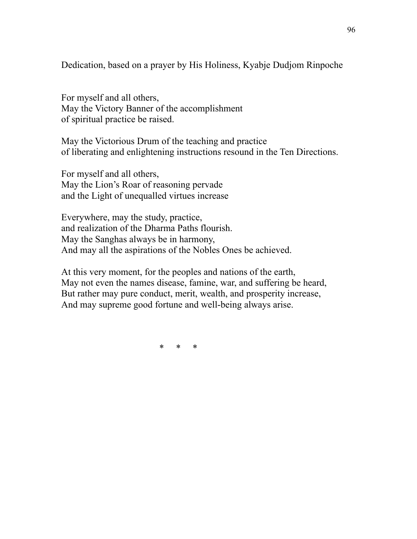Dedication, based on a prayer by His Holiness, Kyabje Dudjom Rinpoche

For myself and all others, May the Victory Banner of the accomplishment of spiritual practice be raised.

May the Victorious Drum of the teaching and practice of liberating and enlightening instructions resound in the Ten Directions.

For myself and all others, May the Lion's Roar of reasoning pervade and the Light of unequalled virtues increase

Everywhere, may the study, practice, and realization of the Dharma Paths flourish. May the Sanghas always be in harmony, And may all the aspirations of the Nobles Ones be achieved.

At this very moment, for the peoples and nations of the earth, May not even the names disease, famine, war, and suffering be heard, But rather may pure conduct, merit, wealth, and prosperity increase, And may supreme good fortune and well-being always arise.

\* \* \*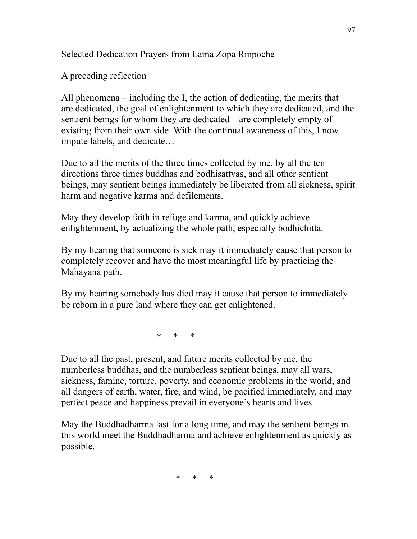Selected Dedication Prayers from Lama Zopa Rinpoche

A preceding reflection

All phenomena – including the I, the action of dedicating, the merits that are dedicated, the goal of enlightenment to which they are dedicated, and the sentient beings for whom they are dedicated – are completely empty of existing from their own side. With the continual awareness of this, I now impute labels, and dedicate…

Due to all the merits of the three times collected by me, by all the ten directions three times buddhas and bodhisattvas, and all other sentient beings, may sentient beings immediately be liberated from all sickness, spirit harm and negative karma and defilements.

May they develop faith in refuge and karma, and quickly achieve enlightenment, by actualizing the whole path, especially bodhichitta.

By my hearing that someone is sick may it immediately cause that person to completely recover and have the most meaningful life by practicing the Mahayana path.

By my hearing somebody has died may it cause that person to immediately be reborn in a pure land where they can get enlightened.

\* \* \*

Due to all the past, present, and future merits collected by me, the numberless buddhas, and the numberless sentient beings, may all wars, sickness, famine, torture, poverty, and economic problems in the world, and all dangers of earth, water, fire, and wind, be pacified immediately, and may perfect peace and happiness prevail in everyone's hearts and lives.

May the Buddhadharma last for a long time, and may the sentient beings in this world meet the Buddhadharma and achieve enlightenment as quickly as possible.

\* \* \*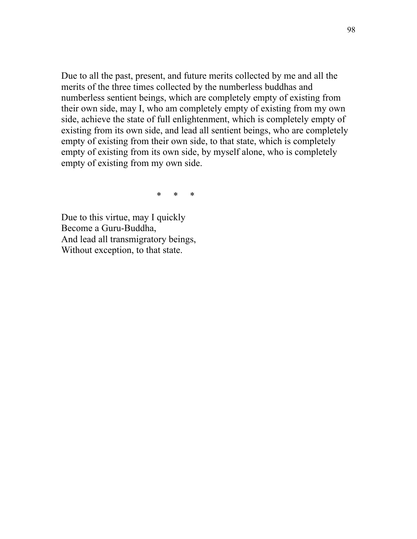Due to all the past, present, and future merits collected by me and all the merits of the three times collected by the numberless buddhas and numberless sentient beings, which are completely empty of existing from their own side, may I, who am completely empty of existing from my own side, achieve the state of full enlightenment, which is completely empty of existing from its own side, and lead all sentient beings, who are completely empty of existing from their own side, to that state, which is completely empty of existing from its own side, by myself alone, who is completely empty of existing from my own side.

 $\star$   $\star$   $\star$   $\star$ 

Due to this virtue, may I quickly Become a Guru-Buddha, And lead all transmigratory beings, Without exception, to that state.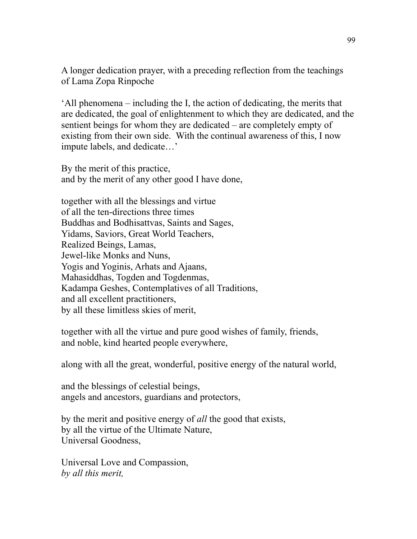A longer dedication prayer, with a preceding reflection from the teachings of Lama Zopa Rinpoche

'All phenomena – including the I, the action of dedicating, the merits that are dedicated, the goal of enlightenment to which they are dedicated, and the sentient beings for whom they are dedicated – are completely empty of existing from their own side. With the continual awareness of this, I now impute labels, and dedicate…'

By the merit of this practice, and by the merit of any other good I have done,

together with all the blessings and virtue of all the ten-directions three times Buddhas and Bodhisattvas, Saints and Sages, Yidams, Saviors, Great World Teachers, Realized Beings, Lamas, Jewel-like Monks and Nuns, Yogis and Yoginis, Arhats and Ajaans, Mahasiddhas, Togden and Togdenmas, Kadampa Geshes, Contemplatives of all Traditions, and all excellent practitioners, by all these limitless skies of merit,

together with all the virtue and pure good wishes of family, friends, and noble, kind hearted people everywhere,

along with all the great, wonderful, positive energy of the natural world,

and the blessings of celestial beings, angels and ancestors, guardians and protectors,

by the merit and positive energy of *all* the good that exists, by all the virtue of the Ultimate Nature, Universal Goodness,

Universal Love and Compassion, *by all this merit,*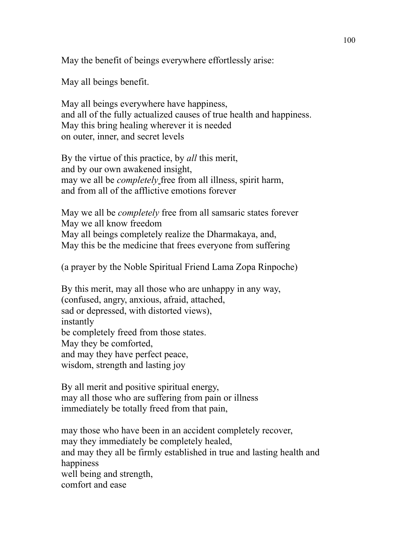May the benefit of beings everywhere effortlessly arise:

May all beings benefit.

May all beings everywhere have happiness, and all of the fully actualized causes of true health and happiness. May this bring healing wherever it is needed on outer, inner, and secret levels

By the virtue of this practice, by *all* this merit, and by our own awakened insight, may we all be *completely* free from all illness, spirit harm, and from all of the afflictive emotions forever

May we all be *completely* free from all samsaric states forever May we all know freedom May all beings completely realize the Dharmakaya, and, May this be the medicine that frees everyone from suffering

(a prayer by the Noble Spiritual Friend Lama Zopa Rinpoche)

By this merit, may all those who are unhappy in any way, (confused, angry, anxious, afraid, attached, sad or depressed, with distorted views), instantly be completely freed from those states. May they be comforted, and may they have perfect peace, wisdom, strength and lasting joy

By all merit and positive spiritual energy, may all those who are suffering from pain or illness immediately be totally freed from that pain,

may those who have been in an accident completely recover, may they immediately be completely healed, and may they all be firmly established in true and lasting health and happiness well being and strength, comfort and ease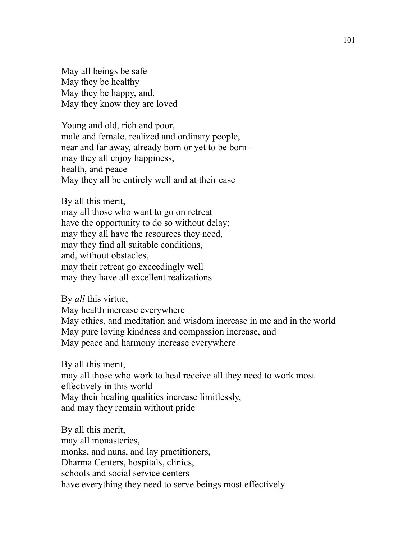May all beings be safe May they be healthy May they be happy, and, May they know they are loved

Young and old, rich and poor, male and female, realized and ordinary people, near and far away, already born or yet to be born may they all enjoy happiness, health, and peace May they all be entirely well and at their ease

By all this merit, may all those who want to go on retreat have the opportunity to do so without delay; may they all have the resources they need, may they find all suitable conditions, and, without obstacles, may their retreat go exceedingly well may they have all excellent realizations

By *all* this virtue, May health increase everywhere May ethics, and meditation and wisdom increase in me and in the world May pure loving kindness and compassion increase, and May peace and harmony increase everywhere

By all this merit, may all those who work to heal receive all they need to work most effectively in this world May their healing qualities increase limitlessly, and may they remain without pride

By all this merit, may all monasteries, monks, and nuns, and lay practitioners, Dharma Centers, hospitals, clinics, schools and social service centers have everything they need to serve beings most effectively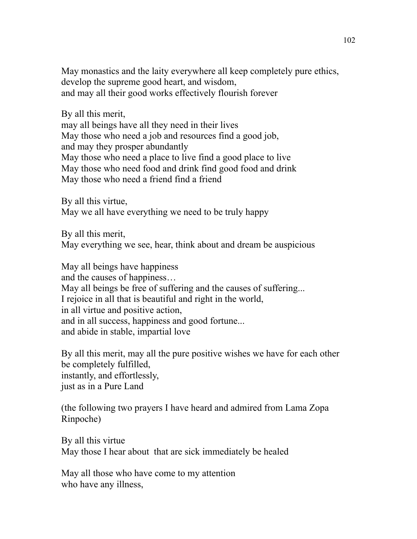May monastics and the laity everywhere all keep completely pure ethics, develop the supreme good heart, and wisdom, and may all their good works effectively flourish forever

By all this merit, may all beings have all they need in their lives May those who need a job and resources find a good job, and may they prosper abundantly May those who need a place to live find a good place to live May those who need food and drink find good food and drink May those who need a friend find a friend

By all this virtue, May we all have everything we need to be truly happy

By all this merit, May everything we see, hear, think about and dream be auspicious

May all beings have happiness and the causes of happiness… May all beings be free of suffering and the causes of suffering... I rejoice in all that is beautiful and right in the world, in all virtue and positive action, and in all success, happiness and good fortune... and abide in stable, impartial love

By all this merit, may all the pure positive wishes we have for each other be completely fulfilled, instantly, and effortlessly, just as in a Pure Land

(the following two prayers I have heard and admired from Lama Zopa Rinpoche)

By all this virtue May those I hear about that are sick immediately be healed

May all those who have come to my attention who have any illness,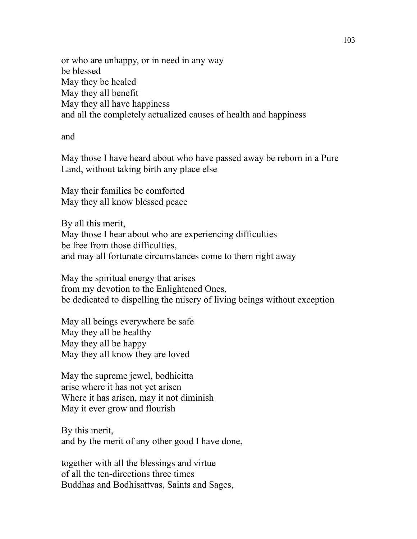or who are unhappy, or in need in any way be blessed May they be healed May they all benefit May they all have happiness and all the completely actualized causes of health and happiness

and

May those I have heard about who have passed away be reborn in a Pure Land, without taking birth any place else

May their families be comforted May they all know blessed peace

By all this merit, May those I hear about who are experiencing difficulties be free from those difficulties, and may all fortunate circumstances come to them right away

May the spiritual energy that arises from my devotion to the Enlightened Ones, be dedicated to dispelling the misery of living beings without exception

May all beings everywhere be safe May they all be healthy May they all be happy May they all know they are loved

May the supreme jewel, bodhicitta arise where it has not yet arisen Where it has arisen, may it not diminish May it ever grow and flourish

By this merit, and by the merit of any other good I have done,

together with all the blessings and virtue of all the ten-directions three times Buddhas and Bodhisattvas, Saints and Sages,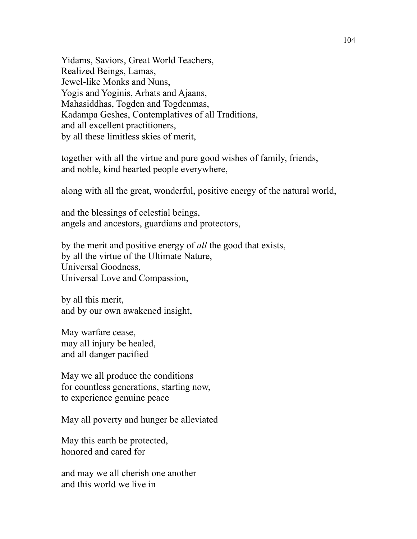Yidams, Saviors, Great World Teachers, Realized Beings, Lamas, Jewel-like Monks and Nuns, Yogis and Yoginis, Arhats and Ajaans, Mahasiddhas, Togden and Togdenmas, Kadampa Geshes, Contemplatives of all Traditions, and all excellent practitioners, by all these limitless skies of merit,

together with all the virtue and pure good wishes of family, friends, and noble, kind hearted people everywhere,

along with all the great, wonderful, positive energy of the natural world,

and the blessings of celestial beings, angels and ancestors, guardians and protectors,

by the merit and positive energy of *all* the good that exists, by all the virtue of the Ultimate Nature, Universal Goodness, Universal Love and Compassion,

by all this merit, and by our own awakened insight,

May warfare cease, may all injury be healed, and all danger pacified

May we all produce the conditions for countless generations, starting now, to experience genuine peace

May all poverty and hunger be alleviated

May this earth be protected, honored and cared for

and may we all cherish one another and this world we live in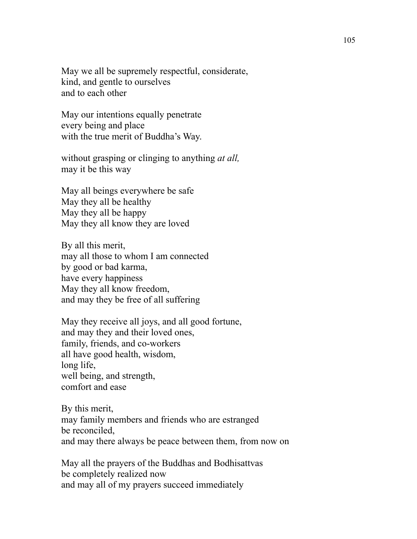May we all be supremely respectful, considerate, kind, and gentle to ourselves and to each other

May our intentions equally penetrate every being and place with the true merit of Buddha's Way.

without grasping or clinging to anything *at all,*  may it be this way

May all beings everywhere be safe May they all be healthy May they all be happy May they all know they are loved

By all this merit, may all those to whom I am connected by good or bad karma, have every happiness May they all know freedom, and may they be free of all suffering

May they receive all joys, and all good fortune, and may they and their loved ones, family, friends, and co-workers all have good health, wisdom, long life, well being, and strength, comfort and ease

By this merit, may family members and friends who are estranged be reconciled, and may there always be peace between them, from now on

May all the prayers of the Buddhas and Bodhisattvas be completely realized now and may all of my prayers succeed immediately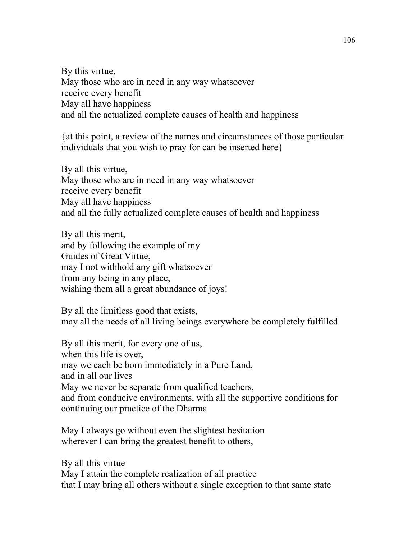By this virtue, May those who are in need in any way whatsoever receive every benefit May all have happiness and all the actualized complete causes of health and happiness

{at this point, a review of the names and circumstances of those particular individuals that you wish to pray for can be inserted here}

By all this virtue, May those who are in need in any way whatsoever receive every benefit May all have happiness and all the fully actualized complete causes of health and happiness

By all this merit, and by following the example of my Guides of Great Virtue, may I not withhold any gift whatsoever from any being in any place, wishing them all a great abundance of joys!

By all the limitless good that exists, may all the needs of all living beings everywhere be completely fulfilled

By all this merit, for every one of us, when this life is over, may we each be born immediately in a Pure Land, and in all our lives May we never be separate from qualified teachers, and from conducive environments, with all the supportive conditions for continuing our practice of the Dharma

May I always go without even the slightest hesitation wherever I can bring the greatest benefit to others,

By all this virtue May I attain the complete realization of all practice that I may bring all others without a single exception to that same state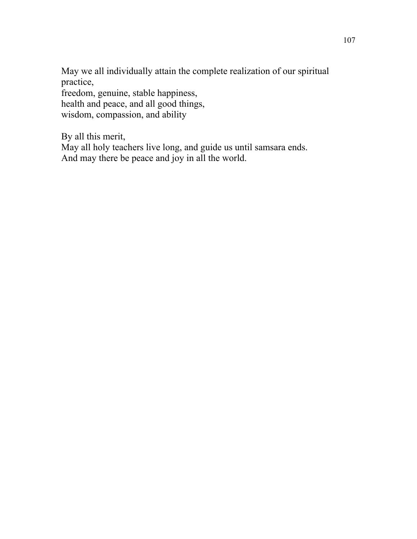May we all individually attain the complete realization of our spiritual practice,

freedom, genuine, stable happiness, health and peace, and all good things, wisdom, compassion, and ability

By all this merit,

May all holy teachers live long, and guide us until samsara ends. And may there be peace and joy in all the world.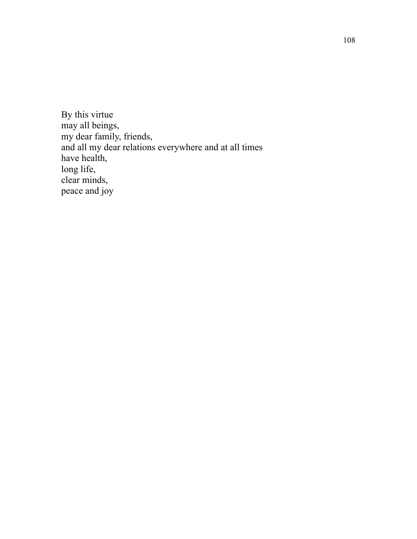By this virtue may all beings, my dear family, friends, and all my dear relations everywhere and at all times have health, long life, clear minds, peace and joy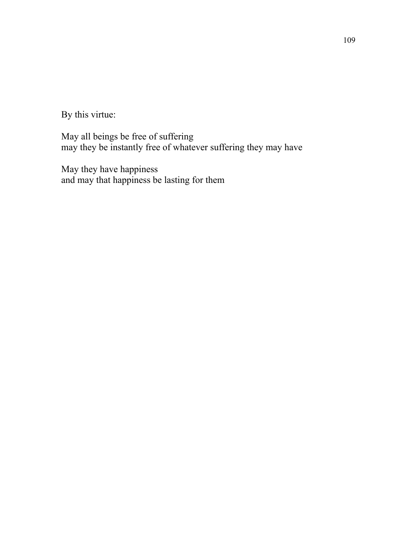By this virtue:

May all beings be free of suffering may they be instantly free of whatever suffering they may have

May they have happiness and may that happiness be lasting for them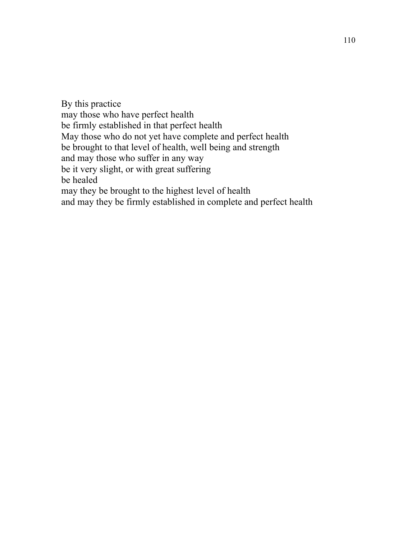By this practice may those who have perfect health be firmly established in that perfect health May those who do not yet have complete and perfect health be brought to that level of health, well being and strength and may those who suffer in any way be it very slight, or with great suffering be healed may they be brought to the highest level of health and may they be firmly established in complete and perfect health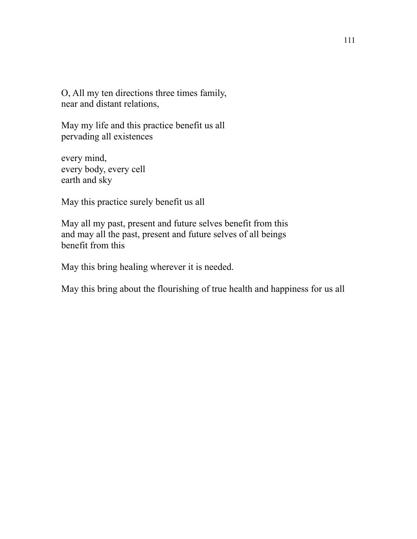O, All my ten directions three times family, near and distant relations,

May my life and this practice benefit us all pervading all existences

every mind, every body, every cell earth and sky

May this practice surely benefit us all

May all my past, present and future selves benefit from this and may all the past, present and future selves of all beings benefit from this

May this bring healing wherever it is needed.

May this bring about the flourishing of true health and happiness for us all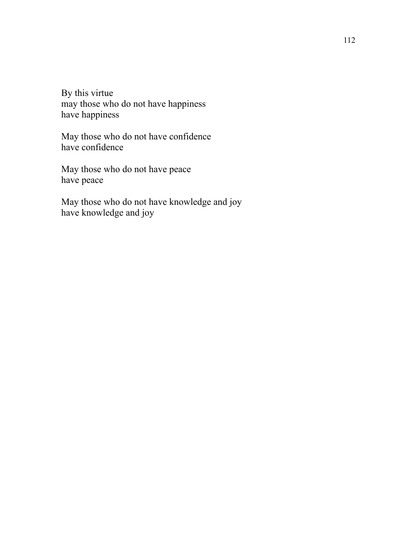By this virtue may those who do not have happiness have happiness

May those who do not have confidence have confidence

May those who do not have peace have peace

May those who do not have knowledge and joy have knowledge and joy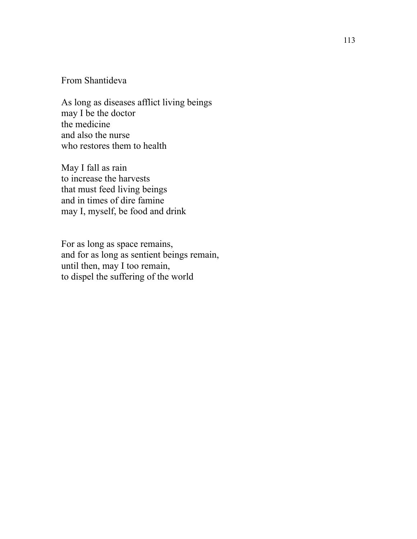## From Shantideva

As long as diseases afflict living beings may I be the doctor the medicine and also the nurse who restores them to health

May I fall as rain to increase the harvests that must feed living beings and in times of dire famine may I, myself, be food and drink

For as long as space remains, and for as long as sentient beings remain, until then, may I too remain, to dispel the suffering of the world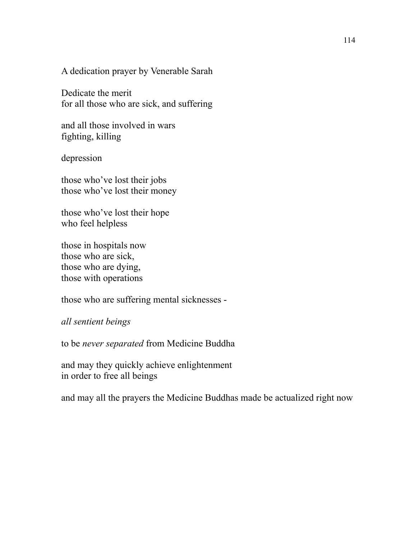A dedication prayer by Venerable Sarah

Dedicate the merit for all those who are sick, and suffering

and all those involved in wars fighting, killing

depression

those who've lost their jobs those who've lost their money

those who've lost their hope who feel helpless

those in hospitals now those who are sick, those who are dying, those with operations

those who are suffering mental sicknesses -

*all sentient beings* 

to be *never separated* from Medicine Buddha

and may they quickly achieve enlightenment in order to free all beings

and may all the prayers the Medicine Buddhas made be actualized right now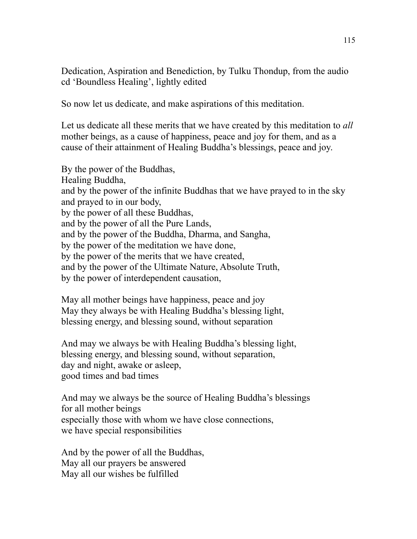Dedication, Aspiration and Benediction, by Tulku Thondup, from the audio cd 'Boundless Healing', lightly edited

So now let us dedicate, and make aspirations of this meditation.

Let us dedicate all these merits that we have created by this meditation to *all* mother beings, as a cause of happiness, peace and joy for them, and as a cause of their attainment of Healing Buddha's blessings, peace and joy.

By the power of the Buddhas, Healing Buddha, and by the power of the infinite Buddhas that we have prayed to in the sky and prayed to in our body, by the power of all these Buddhas, and by the power of all the Pure Lands, and by the power of the Buddha, Dharma, and Sangha, by the power of the meditation we have done, by the power of the merits that we have created, and by the power of the Ultimate Nature, Absolute Truth, by the power of interdependent causation,

May all mother beings have happiness, peace and joy May they always be with Healing Buddha's blessing light, blessing energy, and blessing sound, without separation

And may we always be with Healing Buddha's blessing light, blessing energy, and blessing sound, without separation, day and night, awake or asleep, good times and bad times

And may we always be the source of Healing Buddha's blessings for all mother beings especially those with whom we have close connections, we have special responsibilities

And by the power of all the Buddhas, May all our prayers be answered May all our wishes be fulfilled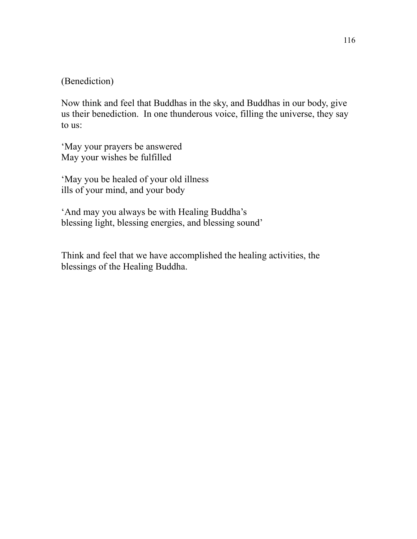## (Benediction)

Now think and feel that Buddhas in the sky, and Buddhas in our body, give us their benediction. In one thunderous voice, filling the universe, they say to us:

'May your prayers be answered May your wishes be fulfilled

'May you be healed of your old illness ills of your mind, and your body

'And may you always be with Healing Buddha's blessing light, blessing energies, and blessing sound'

Think and feel that we have accomplished the healing activities, the blessings of the Healing Buddha.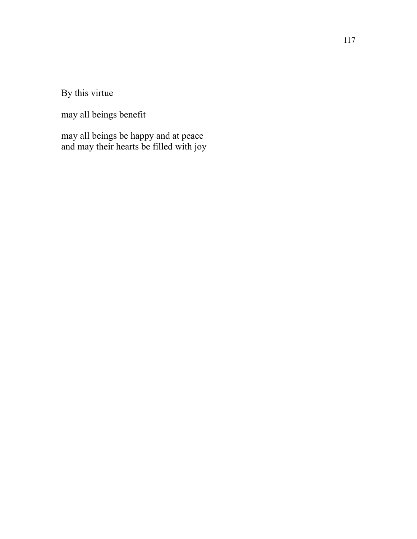By this virtue

may all beings benefit

may all beings be happy and at peace and may their hearts be filled with joy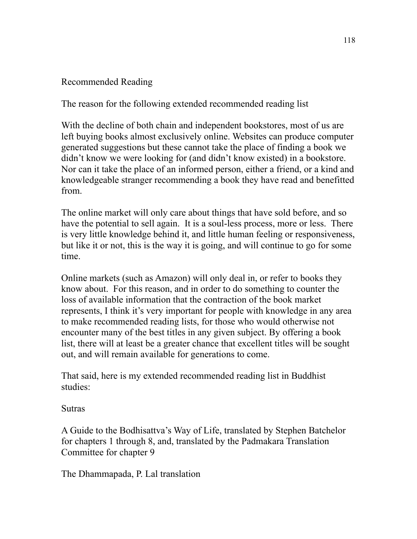## Recommended Reading

The reason for the following extended recommended reading list

With the decline of both chain and independent bookstores, most of us are left buying books almost exclusively online. Websites can produce computer generated suggestions but these cannot take the place of finding a book we didn't know we were looking for (and didn't know existed) in a bookstore. Nor can it take the place of an informed person, either a friend, or a kind and knowledgeable stranger recommending a book they have read and benefitted from.

The online market will only care about things that have sold before, and so have the potential to sell again. It is a soul-less process, more or less. There is very little knowledge behind it, and little human feeling or responsiveness, but like it or not, this is the way it is going, and will continue to go for some time.

Online markets (such as Amazon) will only deal in, or refer to books they know about. For this reason, and in order to do something to counter the loss of available information that the contraction of the book market represents, I think it's very important for people with knowledge in any area to make recommended reading lists, for those who would otherwise not encounter many of the best titles in any given subject. By offering a book list, there will at least be a greater chance that excellent titles will be sought out, and will remain available for generations to come.

That said, here is my extended recommended reading list in Buddhist studies:

Sutras

A Guide to the Bodhisattva's Way of Life, translated by Stephen Batchelor for chapters 1 through 8, and, translated by the Padmakara Translation Committee for chapter 9

The Dhammapada, P. Lal translation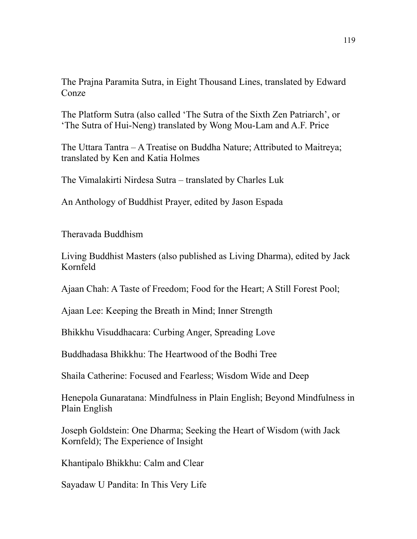The Prajna Paramita Sutra, in Eight Thousand Lines, translated by Edward Conze

The Platform Sutra (also called 'The Sutra of the Sixth Zen Patriarch', or 'The Sutra of Hui-Neng) translated by Wong Mou-Lam and A.F. Price

The Uttara Tantra – A Treatise on Buddha Nature; Attributed to Maitreya; translated by Ken and Katia Holmes

The Vimalakirti Nirdesa Sutra – translated by Charles Luk

An Anthology of Buddhist Prayer, edited by Jason Espada

Theravada Buddhism

Living Buddhist Masters (also published as Living Dharma), edited by Jack Kornfeld

Ajaan Chah: A Taste of Freedom; Food for the Heart; A Still Forest Pool;

Ajaan Lee: Keeping the Breath in Mind; Inner Strength

Bhikkhu Visuddhacara: Curbing Anger, Spreading Love

Buddhadasa Bhikkhu: The Heartwood of the Bodhi Tree

Shaila Catherine: Focused and Fearless; Wisdom Wide and Deep

Henepola Gunaratana: Mindfulness in Plain English; Beyond Mindfulness in Plain English

Joseph Goldstein: One Dharma; Seeking the Heart of Wisdom (with Jack Kornfeld); The Experience of Insight

Khantipalo Bhikkhu: Calm and Clear

Sayadaw U Pandita: In This Very Life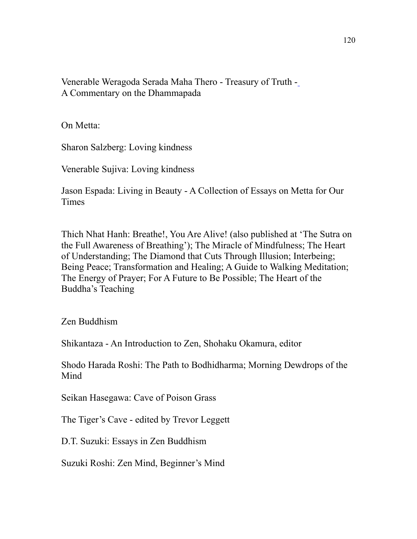Venerable Weragoda Serada Maha Thero - Treasury of Truth - A Commentary on the Dhammapada

On Metta:

Sharon Salzberg: Loving kindness

Venerable Sujiva: Loving kindness

Jason Espada: Living in Beauty - A Collection of Essays on Metta for Our **Times** 

Thich Nhat Hanh: Breathe!, You Are Alive! (also published at 'The Sutra on the Full Awareness of Breathing'); The Miracle of Mindfulness; The Heart of Understanding; The Diamond that Cuts Through Illusion; Interbeing; Being Peace; Transformation and Healing; A Guide to Walking Meditation; The Energy of Prayer; For A Future to Be Possible; The Heart of the Buddha's Teaching

Zen Buddhism

Shikantaza - An Introduction to Zen, Shohaku Okamura, editor

Shodo Harada Roshi: The Path to Bodhidharma; Morning Dewdrops of the Mind

Seikan Hasegawa: Cave of Poison Grass

The Tiger's Cave - edited by Trevor Leggett

D.T. Suzuki: Essays in Zen Buddhism

Suzuki Roshi: Zen Mind, Beginner's Mind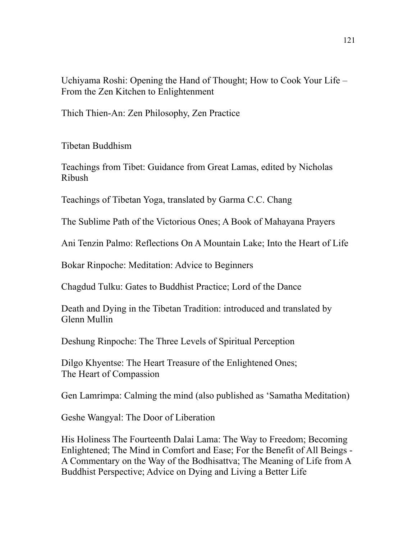Uchiyama Roshi: Opening the Hand of Thought; How to Cook Your Life – From the Zen Kitchen to Enlightenment

Thich Thien-An: Zen Philosophy, Zen Practice

Tibetan Buddhism

Teachings from Tibet: Guidance from Great Lamas, edited by Nicholas Ribush

Teachings of Tibetan Yoga, translated by Garma C.C. Chang

The Sublime Path of the Victorious Ones; A Book of Mahayana Prayers

Ani Tenzin Palmo: Reflections On A Mountain Lake; Into the Heart of Life

Bokar Rinpoche: Meditation: Advice to Beginners

Chagdud Tulku: Gates to Buddhist Practice; Lord of the Dance

Death and Dying in the Tibetan Tradition: introduced and translated by Glenn Mullin

Deshung Rinpoche: The Three Levels of Spiritual Perception

Dilgo Khyentse: The Heart Treasure of the Enlightened Ones; The Heart of Compassion

Gen Lamrimpa: Calming the mind (also published as 'Samatha Meditation)

Geshe Wangyal: The Door of Liberation

His Holiness The Fourteenth Dalai Lama: The Way to Freedom; Becoming Enlightened; The Mind in Comfort and Ease; For the Benefit of All Beings - A Commentary on the Way of the Bodhisattva; The Meaning of Life from A Buddhist Perspective; Advice on Dying and Living a Better Life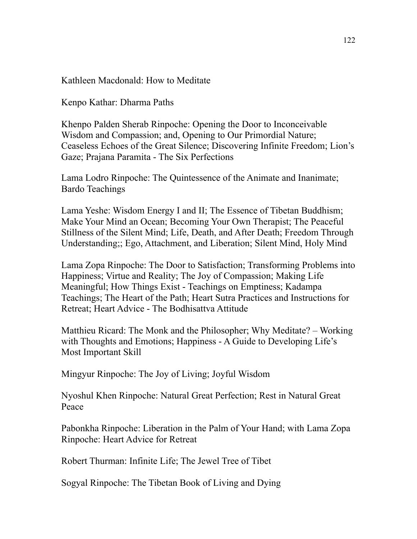Kathleen Macdonald: How to Meditate

Kenpo Kathar: Dharma Paths

Khenpo Palden Sherab Rinpoche: Opening the Door to Inconceivable Wisdom and Compassion; and, Opening to Our Primordial Nature; Ceaseless Echoes of the Great Silence; Discovering Infinite Freedom; Lion's Gaze; Prajana Paramita - The Six Perfections

Lama Lodro Rinpoche: The Quintessence of the Animate and Inanimate; Bardo Teachings

Lama Yeshe: Wisdom Energy I and II; The Essence of Tibetan Buddhism; Make Your Mind an Ocean; Becoming Your Own Therapist; The Peaceful Stillness of the Silent Mind; Life, Death, and After Death; Freedom Through Understanding;; Ego, Attachment, and Liberation; Silent Mind, Holy Mind

Lama Zopa Rinpoche: The Door to Satisfaction; Transforming Problems into Happiness; Virtue and Reality; The Joy of Compassion; Making Life Meaningful; How Things Exist - Teachings on Emptiness; Kadampa Teachings; The Heart of the Path; Heart Sutra Practices and Instructions for Retreat; Heart Advice - The Bodhisattva Attitude

Matthieu Ricard: The Monk and the Philosopher; Why Meditate? – Working with Thoughts and Emotions; Happiness - A Guide to Developing Life's Most Important Skill

Mingyur Rinpoche: The Joy of Living; Joyful Wisdom

Nyoshul Khen Rinpoche: Natural Great Perfection; Rest in Natural Great Peace

Pabonkha Rinpoche: Liberation in the Palm of Your Hand; with Lama Zopa Rinpoche: Heart Advice for Retreat

Robert Thurman: Infinite Life; The Jewel Tree of Tibet

Sogyal Rinpoche: The Tibetan Book of Living and Dying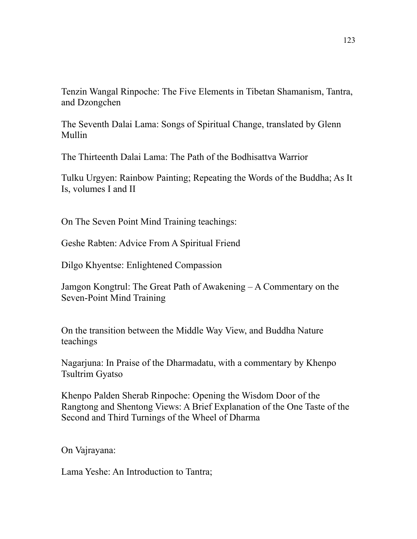Tenzin Wangal Rinpoche: The Five Elements in Tibetan Shamanism, Tantra, and Dzongchen

The Seventh Dalai Lama: Songs of Spiritual Change, translated by Glenn Mullin

The Thirteenth Dalai Lama: The Path of the Bodhisattva Warrior

Tulku Urgyen: Rainbow Painting; Repeating the Words of the Buddha; As It Is, volumes I and II

On The Seven Point Mind Training teachings:

Geshe Rabten: Advice From A Spiritual Friend

Dilgo Khyentse: Enlightened Compassion

Jamgon Kongtrul: The Great Path of Awakening – A Commentary on the Seven-Point Mind Training

On the transition between the Middle Way View, and Buddha Nature teachings

Nagarjuna: In Praise of the Dharmadatu, with a commentary by Khenpo Tsultrim Gyatso

Khenpo Palden Sherab Rinpoche: Opening the Wisdom Door of the Rangtong and Shentong Views: A Brief Explanation of the One Taste of the Second and Third Turnings of the Wheel of Dharma

On Vajrayana:

Lama Yeshe: An Introduction to Tantra;